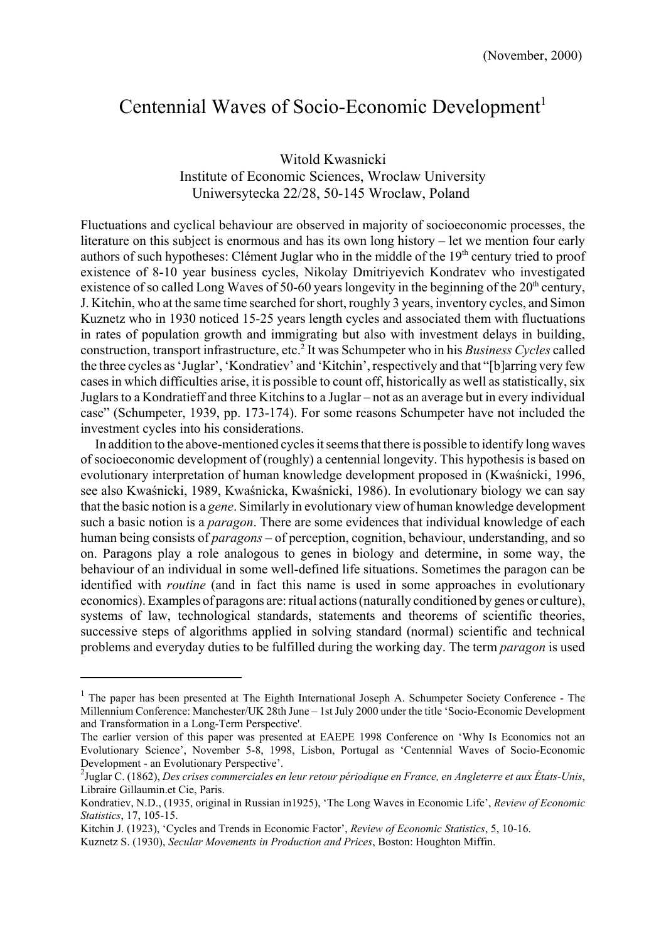# Centennial Waves of Socio-Economic Development<sup>1</sup>

Witold Kwasnicki Institute of Economic Sciences, Wroclaw University Uniwersytecka 22/28, 50-145 Wroclaw, Poland

Fluctuations and cyclical behaviour are observed in majority of socioeconomic processes, the literature on this subject is enormous and has its own long history – let we mention four early authors of such hypotheses: Clément Juglar who in the middle of the  $19<sup>th</sup>$  century tried to proof existence of 8-10 year business cycles, Nikolay Dmitriyevich Kondratev who investigated existence of so called Long Waves of 50-60 years longevity in the beginning of the  $20<sup>th</sup>$  century, J. Kitchin, who at the same time searched for short, roughly 3 years, inventory cycles, and Simon Kuznetz who in 1930 noticed 15-25 years length cycles and associated them with fluctuations in rates of population growth and immigrating but also with investment delays in building, construction, transport infrastructure, etc.2 It was Schumpeter who in his *Business Cycles* called the three cycles as 'Juglar', 'Kondratiev' and 'Kitchin', respectively and that "[b]arring very few cases in which difficulties arise, it is possible to count off, historically as well as statistically, six Juglars to a Kondratieff and three Kitchins to a Juglar – not as an average but in every individual case" (Schumpeter, 1939, pp. 173-174). For some reasons Schumpeter have not included the investment cycles into his considerations.

In addition to the above-mentioned cycles it seems that there is possible to identify long waves of socioeconomic development of (roughly) a centennial longevity. This hypothesis is based on evolutionary interpretation of human knowledge development proposed in (Kwaśnicki, 1996, see also Kwaśnicki, 1989, Kwaśnicka, Kwaśnicki, 1986). In evolutionary biology we can say that the basic notion is a *gene*. Similarly in evolutionary view of human knowledge development such a basic notion is a *paragon*. There are some evidences that individual knowledge of each human being consists of *paragons* – of perception, cognition, behaviour, understanding, and so on. Paragons play a role analogous to genes in biology and determine, in some way, the behaviour of an individual in some well-defined life situations. Sometimes the paragon can be identified with *routine* (and in fact this name is used in some approaches in evolutionary economics). Examples of paragons are: ritual actions (naturally conditioned by genes or culture), systems of law, technological standards, statements and theorems of scientific theories, successive steps of algorithms applied in solving standard (normal) scientific and technical problems and everyday duties to be fulfilled during the working day. The term *paragon* is used

<sup>&</sup>lt;sup>1</sup> The paper has been presented at The Eighth International Joseph A. Schumpeter Society Conference - The Millennium Conference: Manchester/UK 28th June – 1st July 2000 under the title 'Socio-Economic Development and Transformation in a Long-Term Perspective'.

The earlier version of this paper was presented at EAEPE 1998 Conference on 'Why Is Economics not an Evolutionary Science', November 5-8, 1998, Lisbon, Portugal as 'Centennial Waves of Socio-Economic Development - an Evolutionary Perspective'.

<sup>2</sup> Juglar C. (1862), *Des crises commerciales en leur retour périodique en France, en Angleterre et aux États-Unis*, Libraire Gillaumin.et Cie, Paris.

Kondratiev, N.D., (1935, original in Russian in1925), 'The Long Waves in Economic Life', *Review of Economic Statistics*, 17, 105-15.

Kitchin J. (1923), 'Cycles and Trends in Economic Factor', *Review of Economic Statistics*, 5, 10-16.

Kuznetz S. (1930), *Secular Movements in Production and Prices*, Boston: Houghton Miffin.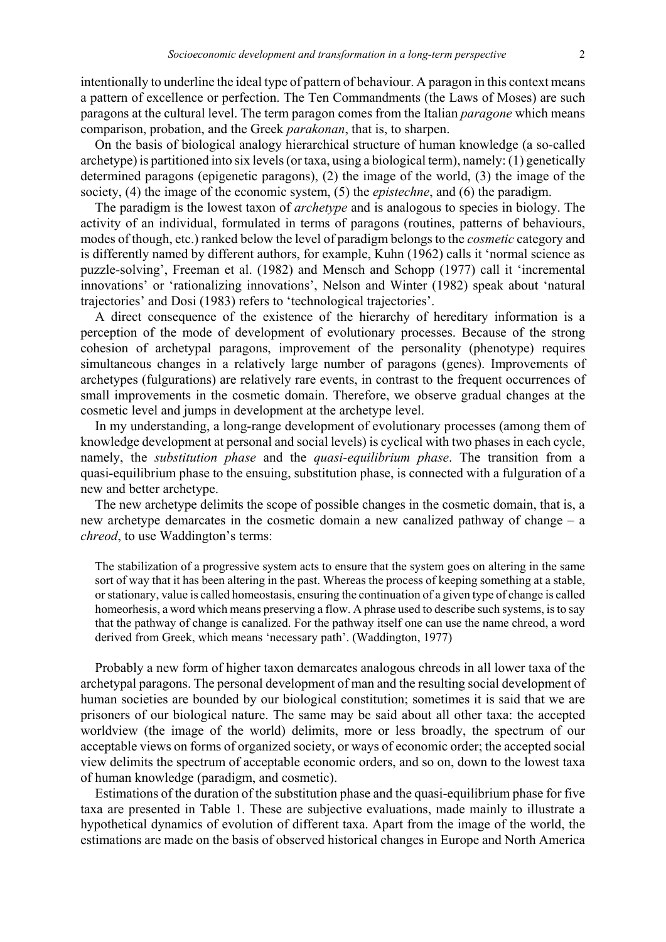intentionally to underline the ideal type of pattern of behaviour. A paragon in this context means a pattern of excellence or perfection. The Ten Commandments (the Laws of Moses) are such paragons at the cultural level. The term paragon comes from the Italian *paragone* which means comparison, probation, and the Greek *parakonan*, that is, to sharpen.

On the basis of biological analogy hierarchical structure of human knowledge (a so-called archetype) is partitioned into six levels (or taxa, using a biological term), namely: (1) genetically determined paragons (epigenetic paragons), (2) the image of the world, (3) the image of the society, (4) the image of the economic system, (5) the *epistechne*, and (6) the paradigm.

The paradigm is the lowest taxon of *archetype* and is analogous to species in biology. The activity of an individual, formulated in terms of paragons (routines, patterns of behaviours, modes of though, etc.) ranked below the level of paradigm belongs to the *cosmetic* category and is differently named by different authors, for example, Kuhn (1962) calls it 'normal science as puzzle-solving', Freeman et al. (1982) and Mensch and Schopp (1977) call it 'incremental innovations' or 'rationalizing innovations', Nelson and Winter (1982) speak about 'natural trajectories' and Dosi (1983) refers to 'technological trajectories'.

A direct consequence of the existence of the hierarchy of hereditary information is a perception of the mode of development of evolutionary processes. Because of the strong cohesion of archetypal paragons, improvement of the personality (phenotype) requires simultaneous changes in a relatively large number of paragons (genes). Improvements of archetypes (fulgurations) are relatively rare events, in contrast to the frequent occurrences of small improvements in the cosmetic domain. Therefore, we observe gradual changes at the cosmetic level and jumps in development at the archetype level.

In my understanding, a long-range development of evolutionary processes (among them of knowledge development at personal and social levels) is cyclical with two phases in each cycle, namely, the *substitution phase* and the *quasi-equilibrium phase*. The transition from a quasi-equilibrium phase to the ensuing, substitution phase, is connected with a fulguration of a new and better archetype.

The new archetype delimits the scope of possible changes in the cosmetic domain, that is, a new archetype demarcates in the cosmetic domain a new canalized pathway of change – a *chreod*, to use Waddington's terms:

The stabilization of a progressive system acts to ensure that the system goes on altering in the same sort of way that it has been altering in the past. Whereas the process of keeping something at a stable, or stationary, value is called homeostasis, ensuring the continuation of a given type of change is called homeorhesis, a word which means preserving a flow. A phrase used to describe such systems, is to say that the pathway of change is canalized. For the pathway itself one can use the name chreod, a word derived from Greek, which means 'necessary path'. (Waddington, 1977)

Probably a new form of higher taxon demarcates analogous chreods in all lower taxa of the archetypal paragons. The personal development of man and the resulting social development of human societies are bounded by our biological constitution; sometimes it is said that we are prisoners of our biological nature. The same may be said about all other taxa: the accepted worldview (the image of the world) delimits, more or less broadly, the spectrum of our acceptable views on forms of organized society, or ways of economic order; the accepted social view delimits the spectrum of acceptable economic orders, and so on, down to the lowest taxa of human knowledge (paradigm, and cosmetic).

Estimations of the duration of the substitution phase and the quasi-equilibrium phase for five taxa are presented in Table 1. These are subjective evaluations, made mainly to illustrate a hypothetical dynamics of evolution of different taxa. Apart from the image of the world, the estimations are made on the basis of observed historical changes in Europe and North America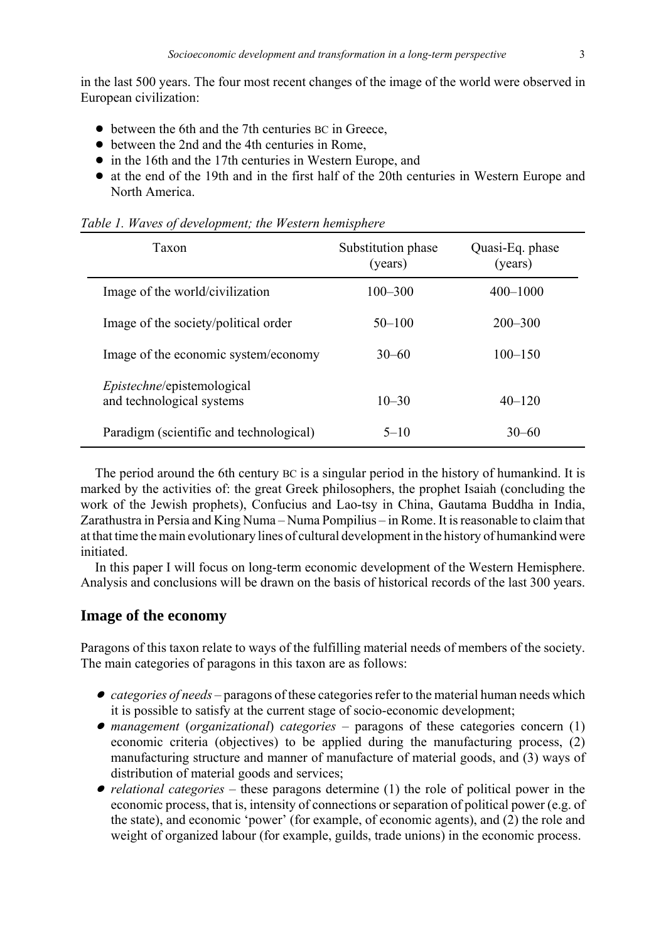in the last 500 years. The four most recent changes of the image of the world were observed in European civilization:

- between the 6th and the 7th centuries BC in Greece,
- between the 2nd and the 4th centuries in Rome,
- in the 16th and the 17th centuries in Western Europe, and
- ! at the end of the 19th and in the first half of the 20th centuries in Western Europe and North America.

| Taxon                                                           | Substitution phase<br>(years) | Quasi-Eq. phase<br>(years) |  |
|-----------------------------------------------------------------|-------------------------------|----------------------------|--|
| Image of the world/civilization                                 | $100 - 300$                   | $400 - 1000$               |  |
| Image of the society/political order                            | $50 - 100$                    | $200 - 300$                |  |
| Image of the economic system/economy                            | $30 - 60$                     | $100 - 150$                |  |
| <i>Epistechne</i> /epistemological<br>and technological systems | $10 - 30$                     | $40 - 120$                 |  |
| Paradigm (scientific and technological)                         | $5 - 10$                      | $30 - 60$                  |  |

#### *Table 1. Waves of development; the Western hemisphere*

The period around the 6th century BC is a singular period in the history of humankind. It is marked by the activities of: the great Greek philosophers, the prophet Isaiah (concluding the work of the Jewish prophets), Confucius and Lao-tsy in China, Gautama Buddha in India, Zarathustra in Persia and King Numa – Numa Pompilius – in Rome. It is reasonable to claim that at that time the main evolutionary lines of cultural development in the history of humankind were initiated.

In this paper I will focus on long-term economic development of the Western Hemisphere. Analysis and conclusions will be drawn on the basis of historical records of the last 300 years.

## **Image of the economy**

Paragons of this taxon relate to ways of the fulfilling material needs of members of the society. The main categories of paragons in this taxon are as follows:

- ! *categories of needs* paragons of these categories refer to the material human needs which it is possible to satisfy at the current stage of socio-economic development;
- ! *management* (*organizational*) *categories* paragons of these categories concern (1) economic criteria (objectives) to be applied during the manufacturing process, (2) manufacturing structure and manner of manufacture of material goods, and (3) ways of distribution of material goods and services;
- ! *relational categories* these paragons determine (1) the role of political power in the economic process, that is, intensity of connections or separation of political power (e.g. of the state), and economic 'power' (for example, of economic agents), and (2) the role and weight of organized labour (for example, guilds, trade unions) in the economic process.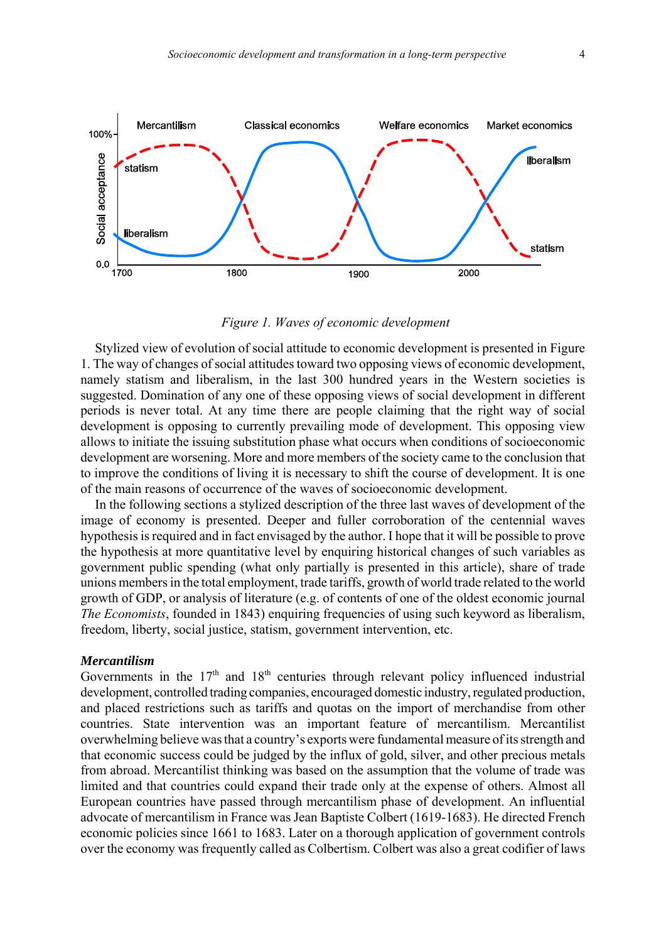

*Figure 1. Waves of economic development*

Stylized view of evolution of social attitude to economic development is presented in Figure 1. The way of changes of social attitudes toward two opposing views of economic development, namely statism and liberalism, in the last 300 hundred years in the Western societies is suggested. Domination of any one of these opposing views of social development in different periods is never total. At any time there are people claiming that the right way of social development is opposing to currently prevailing mode of development. This opposing view allows to initiate the issuing substitution phase what occurs when conditions of socioeconomic development are worsening. More and more members of the society came to the conclusion that to improve the conditions of living it is necessary to shift the course of development. It is one of the main reasons of occurrence of the waves of socioeconomic development.

In the following sections a stylized description of the three last waves of development of the image of economy is presented. Deeper and fuller corroboration of the centennial waves hypothesis is required and in fact envisaged by the author. I hope that it will be possible to prove the hypothesis at more quantitative level by enquiring historical changes of such variables as government public spending (what only partially is presented in this article), share of trade unions members in the total employment, trade tariffs, growth of world trade related to the world growth of GDP, or analysis of literature (e.g. of contents of one of the oldest economic journal *The Economists*, founded in 1843) enquiring frequencies of using such keyword as liberalism, freedom, liberty, social justice, statism, government intervention, etc.

#### *Mercantilism*

Governments in the  $17<sup>th</sup>$  and  $18<sup>th</sup>$  centuries through relevant policy influenced industrial development, controlled trading companies, encouraged domestic industry, regulated production, and placed restrictions such as tariffs and quotas on the import of merchandise from other countries. State intervention was an important feature of mercantilism. Mercantilist overwhelming believe was that a country's exports were fundamental measure of its strength and that economic success could be judged by the influx of gold, silver, and other precious metals from abroad. Mercantilist thinking was based on the assumption that the volume of trade was limited and that countries could expand their trade only at the expense of others. Almost all European countries have passed through mercantilism phase of development. An influential advocate of mercantilism in France was Jean Baptiste Colbert (1619-1683). He directed French economic policies since 1661 to 1683. Later on a thorough application of government controls over the economy was frequently called as Colbertism. Colbert was also a great codifier of laws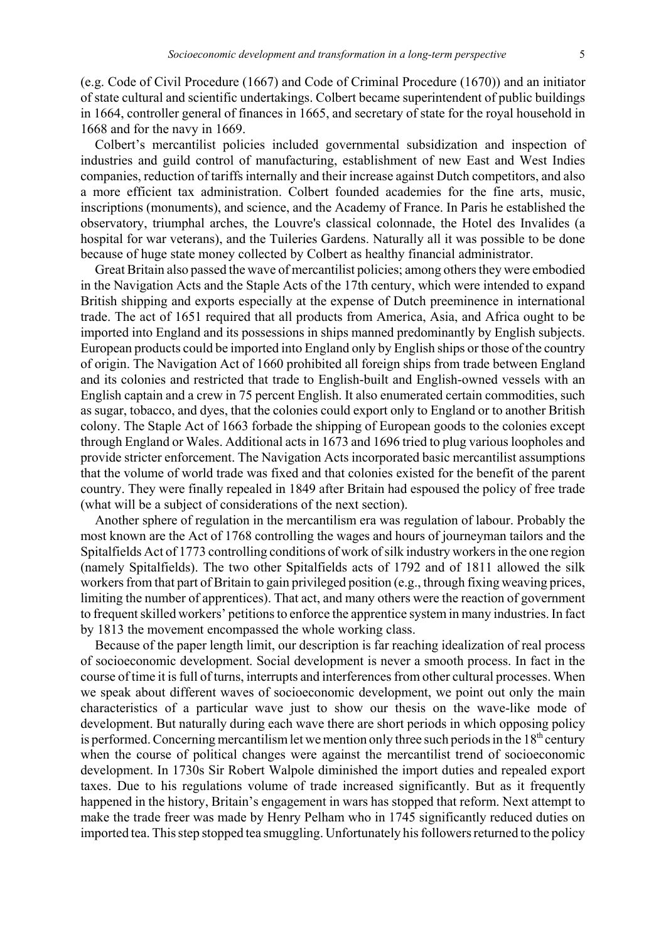(e.g. Code of Civil Procedure (1667) and Code of Criminal Procedure (1670)) and an initiator of state cultural and scientific undertakings. Colbert became superintendent of public buildings in 1664, controller general of finances in 1665, and secretary of state for the royal household in 1668 and for the navy in 1669.

Colbert's mercantilist policies included governmental subsidization and inspection of industries and guild control of manufacturing, establishment of new East and West Indies companies, reduction of tariffs internally and their increase against Dutch competitors, and also a more efficient tax administration. Colbert founded academies for the fine arts, music, inscriptions (monuments), and science, and the Academy of France. In Paris he established the observatory, triumphal arches, the Louvre's classical colonnade, the Hotel des Invalides (a hospital for war veterans), and the Tuileries Gardens. Naturally all it was possible to be done because of huge state money collected by Colbert as healthy financial administrator.

Great Britain also passed the wave of mercantilist policies; among others they were embodied in the Navigation Acts and the Staple Acts of the 17th century, which were intended to expand British shipping and exports especially at the expense of Dutch preeminence in international trade. The act of 1651 required that all products from America, Asia, and Africa ought to be imported into England and its possessions in ships manned predominantly by English subjects. European products could be imported into England only by English ships or those of the country of origin. The Navigation Act of 1660 prohibited all foreign ships from trade between England and its colonies and restricted that trade to English-built and English-owned vessels with an English captain and a crew in 75 percent English. It also enumerated certain commodities, such as sugar, tobacco, and dyes, that the colonies could export only to England or to another British colony. The Staple Act of 1663 forbade the shipping of European goods to the colonies except through England or Wales. Additional acts in 1673 and 1696 tried to plug various loopholes and provide stricter enforcement. The Navigation Acts incorporated basic mercantilist assumptions that the volume of world trade was fixed and that colonies existed for the benefit of the parent country. They were finally repealed in 1849 after Britain had espoused the policy of free trade (what will be a subject of considerations of the next section).

Another sphere of regulation in the mercantilism era was regulation of labour. Probably the most known are the Act of 1768 controlling the wages and hours of journeyman tailors and the Spitalfields Act of 1773 controlling conditions of work of silk industry workers in the one region (namely Spitalfields). The two other Spitalfields acts of 1792 and of 1811 allowed the silk workers from that part of Britain to gain privileged position (e.g., through fixing weaving prices, limiting the number of apprentices). That act, and many others were the reaction of government to frequent skilled workers' petitions to enforce the apprentice system in many industries. In fact by 1813 the movement encompassed the whole working class.

Because of the paper length limit, our description is far reaching idealization of real process of socioeconomic development. Social development is never a smooth process. In fact in the course of time it is full of turns, interrupts and interferences from other cultural processes. When we speak about different waves of socioeconomic development, we point out only the main characteristics of a particular wave just to show our thesis on the wave-like mode of development. But naturally during each wave there are short periods in which opposing policy is performed. Concerning mercantilism let we mention only three such periods in the  $18<sup>th</sup>$  century when the course of political changes were against the mercantilist trend of socioeconomic development. In 1730s Sir Robert Walpole diminished the import duties and repealed export taxes. Due to his regulations volume of trade increased significantly. But as it frequently happened in the history, Britain's engagement in wars has stopped that reform. Next attempt to make the trade freer was made by Henry Pelham who in 1745 significantly reduced duties on imported tea. This step stopped tea smuggling. Unfortunately his followers returned to the policy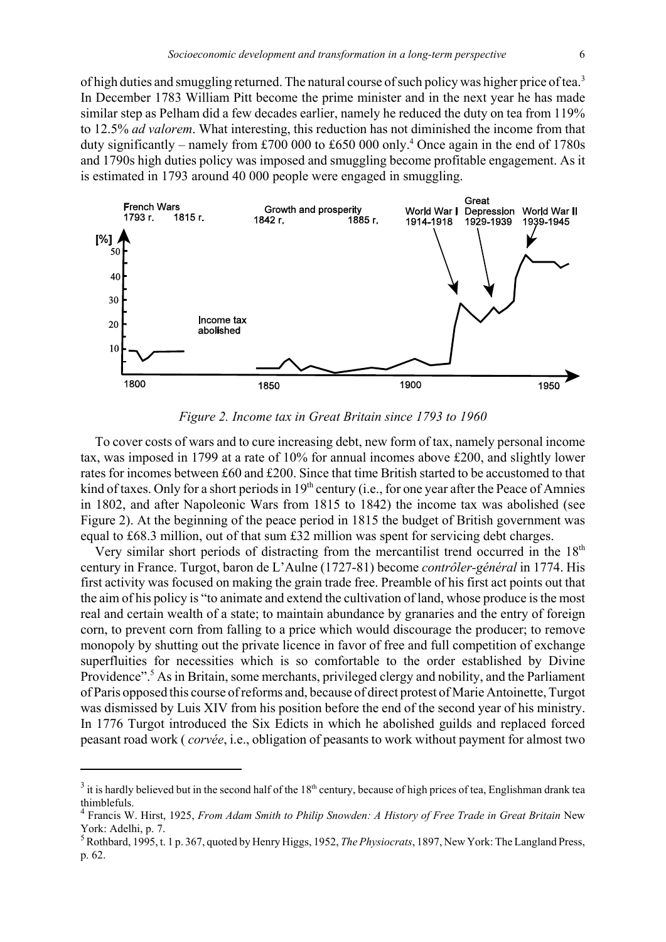of high duties and smuggling returned. The natural course of such policy was higher price of tea.<sup>3</sup> In December 1783 William Pitt become the prime minister and in the next year he has made similar step as Pelham did a few decades earlier, namely he reduced the duty on tea from 119% to 12.5% *ad valorem*. What interesting, this reduction has not diminished the income from that duty significantly – namely from £700 000 to £650 000 only.<sup>4</sup> Once again in the end of 1780s and 1790s high duties policy was imposed and smuggling become profitable engagement. As it is estimated in 1793 around 40 000 people were engaged in smuggling.



*Figure 2. Income tax in Great Britain since 1793 to 1960*

To cover costs of wars and to cure increasing debt, new form of tax, namely personal income tax, was imposed in 1799 at a rate of 10% for annual incomes above £200, and slightly lower rates for incomes between £60 and £200. Since that time British started to be accustomed to that kind of taxes. Only for a short periods in  $19<sup>th</sup>$  century (i.e., for one year after the Peace of Amnies in 1802, and after Napoleonic Wars from 1815 to 1842) the income tax was abolished (see Figure 2). At the beginning of the peace period in 1815 the budget of British government was equal to £68.3 million, out of that sum £32 million was spent for servicing debt charges.

Very similar short periods of distracting from the mercantilist trend occurred in the  $18<sup>th</sup>$ century in France. Turgot, baron de L'Aulne (1727-81) become *contrôler-général* in 1774. His first activity was focused on making the grain trade free. Preamble of his first act points out that the aim of his policy is "to animate and extend the cultivation of land, whose produce is the most real and certain wealth of a state; to maintain abundance by granaries and the entry of foreign corn, to prevent corn from falling to a price which would discourage the producer; to remove monopoly by shutting out the private licence in favor of free and full competition of exchange superfluities for necessities which is so comfortable to the order established by Divine Providence".<sup>5</sup> As in Britain, some merchants, privileged clergy and nobility, and the Parliament of Paris opposed this course of reforms and, because of direct protest of Marie Antoinette, Turgot was dismissed by Luis XIV from his position before the end of the second year of his ministry. In 1776 Turgot introduced the Six Edicts in which he abolished guilds and replaced forced peasant road work ( *corvée*, i.e., obligation of peasants to work without payment for almost two

 $3$  it is hardly believed but in the second half of the 18<sup>th</sup> century, because of high prices of tea, Englishman drank tea thimblefuls.

<sup>4</sup> Francis W. Hirst, 1925, *From Adam Smith to Philip Snowden: A History of Free Trade in Great Britain* New York: Adelhi, p. 7.

<sup>5</sup> Rothbard, 1995, t. 1 p. 367, quoted by Henry Higgs, 1952, *The Physiocrats*, 1897, New York: The Langland Press, p. 62.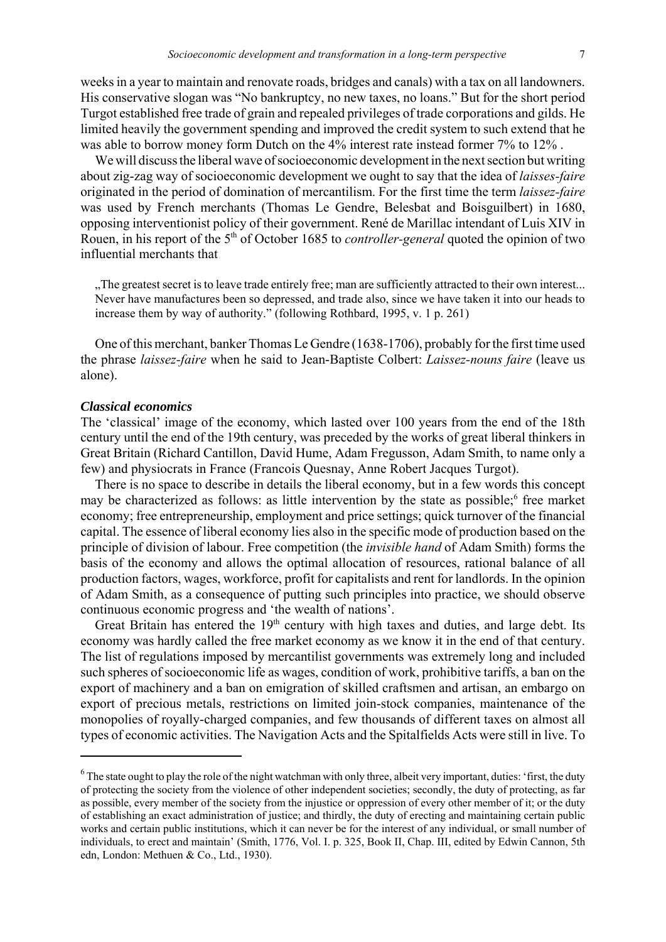weeks in a year to maintain and renovate roads, bridges and canals) with a tax on all landowners. His conservative slogan was "No bankruptcy, no new taxes, no loans." But for the short period Turgot established free trade of grain and repealed privileges of trade corporations and gilds. He limited heavily the government spending and improved the credit system to such extend that he was able to borrow money form Dutch on the 4% interest rate instead former 7% to 12% .

We will discuss the liberal wave of socioeconomic development in the next section but writing about zig-zag way of socioeconomic development we ought to say that the idea of *laisses-faire* originated in the period of domination of mercantilism. For the first time the term *laissez-faire* was used by French merchants (Thomas Le Gendre, Belesbat and Boisguilbert) in 1680, opposing interventionist policy of their government. René de Marillac intendant of Luis XIV in Rouen, in his report of the 5<sup>th</sup> of October 1685 to *controller-general* quoted the opinion of two influential merchants that

"The greatest secret is to leave trade entirely free; man are sufficiently attracted to their own interest... Never have manufactures been so depressed, and trade also, since we have taken it into our heads to increase them by way of authority." (following Rothbard, 1995, v. 1 p. 261)

One of this merchant, banker Thomas Le Gendre (1638-1706), probably for the first time used the phrase *laissez-faire* when he said to Jean-Baptiste Colbert: *Laissez-nouns faire* (leave us alone).

#### *Classical economics*

The 'classical' image of the economy, which lasted over 100 years from the end of the 18th century until the end of the 19th century, was preceded by the works of great liberal thinkers in Great Britain (Richard Cantillon, David Hume, Adam Fregusson, Adam Smith, to name only a few) and physiocrats in France (Francois Quesnay, Anne Robert Jacques Turgot).

There is no space to describe in details the liberal economy, but in a few words this concept may be characterized as follows: as little intervention by the state as possible;<sup>6</sup> free market economy; free entrepreneurship, employment and price settings; quick turnover of the financial capital. The essence of liberal economy lies also in the specific mode of production based on the principle of division of labour. Free competition (the *invisible hand* of Adam Smith) forms the basis of the economy and allows the optimal allocation of resources, rational balance of all production factors, wages, workforce, profit for capitalists and rent for landlords. In the opinion of Adam Smith, as a consequence of putting such principles into practice, we should observe continuous economic progress and 'the wealth of nations'.

Great Britain has entered the  $19<sup>th</sup>$  century with high taxes and duties, and large debt. Its economy was hardly called the free market economy as we know it in the end of that century. The list of regulations imposed by mercantilist governments was extremely long and included such spheres of socioeconomic life as wages, condition of work, prohibitive tariffs, a ban on the export of machinery and a ban on emigration of skilled craftsmen and artisan, an embargo on export of precious metals, restrictions on limited join-stock companies, maintenance of the monopolies of royally-charged companies, and few thousands of different taxes on almost all types of economic activities. The Navigation Acts and the Spitalfields Acts were still in live. To

 $6$  The state ought to play the role of the night watchman with only three, albeit very important, duties: 'first, the duty of protecting the society from the violence of other independent societies; secondly, the duty of protecting, as far as possible, every member of the society from the injustice or oppression of every other member of it; or the duty of establishing an exact administration of justice; and thirdly, the duty of erecting and maintaining certain public works and certain public institutions, which it can never be for the interest of any individual, or small number of individuals, to erect and maintain' (Smith, 1776, Vol. I. p. 325, Book II, Chap. III, edited by Edwin Cannon, 5th edn, London: Methuen & Co., Ltd., 1930).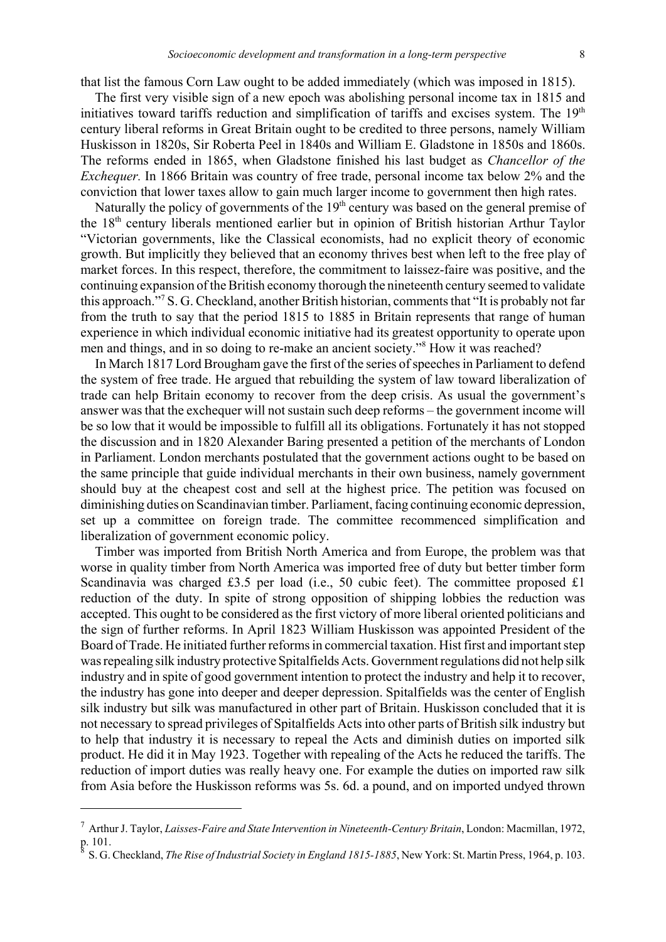that list the famous Corn Law ought to be added immediately (which was imposed in 1815).

The first very visible sign of a new epoch was abolishing personal income tax in 1815 and initiatives toward tariffs reduction and simplification of tariffs and excises system. The 19<sup>th</sup> century liberal reforms in Great Britain ought to be credited to three persons, namely William Huskisson in 1820s, Sir Roberta Peel in 1840s and William E. Gladstone in 1850s and 1860s. The reforms ended in 1865, when Gladstone finished his last budget as *Chancellor of the Exchequer.* In 1866 Britain was country of free trade, personal income tax below 2% and the conviction that lower taxes allow to gain much larger income to government then high rates.

Naturally the policy of governments of the 19<sup>th</sup> century was based on the general premise of the 18<sup>th</sup> century liberals mentioned earlier but in opinion of British historian Arthur Taylor "Victorian governments, like the Classical economists, had no explicit theory of economic growth. But implicitly they believed that an economy thrives best when left to the free play of market forces. In this respect, therefore, the commitment to laissez-faire was positive, and the continuing expansion of the British economy thorough the nineteenth century seemed to validate this approach."7 S. G. Checkland, another British historian, comments that "It is probably not far from the truth to say that the period 1815 to 1885 in Britain represents that range of human experience in which individual economic initiative had its greatest opportunity to operate upon men and things, and in so doing to re-make an ancient society."<sup>8</sup> How it was reached?

In March 1817 Lord Brougham gave the first of the series of speeches in Parliament to defend the system of free trade. He argued that rebuilding the system of law toward liberalization of trade can help Britain economy to recover from the deep crisis. As usual the government's answer was that the exchequer will not sustain such deep reforms – the government income will be so low that it would be impossible to fulfill all its obligations. Fortunately it has not stopped the discussion and in 1820 Alexander Baring presented a petition of the merchants of London in Parliament. London merchants postulated that the government actions ought to be based on the same principle that guide individual merchants in their own business, namely government should buy at the cheapest cost and sell at the highest price. The petition was focused on diminishing duties on Scandinavian timber. Parliament, facing continuing economic depression, set up a committee on foreign trade. The committee recommenced simplification and liberalization of government economic policy.

Timber was imported from British North America and from Europe, the problem was that worse in quality timber from North America was imported free of duty but better timber form Scandinavia was charged £3.5 per load (i.e., 50 cubic feet). The committee proposed £1 reduction of the duty. In spite of strong opposition of shipping lobbies the reduction was accepted. This ought to be considered as the first victory of more liberal oriented politicians and the sign of further reforms. In April 1823 William Huskisson was appointed President of the Board of Trade. He initiated further reforms in commercial taxation. Hist first and important step was repealing silk industry protective Spitalfields Acts. Government regulations did not help silk industry and in spite of good government intention to protect the industry and help it to recover, the industry has gone into deeper and deeper depression. Spitalfields was the center of English silk industry but silk was manufactured in other part of Britain. Huskisson concluded that it is not necessary to spread privileges of Spitalfields Acts into other parts of British silk industry but to help that industry it is necessary to repeal the Acts and diminish duties on imported silk product. He did it in May 1923. Together with repealing of the Acts he reduced the tariffs. The reduction of import duties was really heavy one. For example the duties on imported raw silk from Asia before the Huskisson reforms was 5s. 6d. a pound, and on imported undyed thrown

<sup>7</sup> Arthur J. Taylor, *Laisses-Faire and State Intervention in Nineteenth-Century Britain*, London: Macmillan, 1972,  $\frac{p.101}{8}$ .

S. G. Checkland, *The Rise of Industrial Society in England 1815-1885*, New York: St. Martin Press, 1964, p. 103.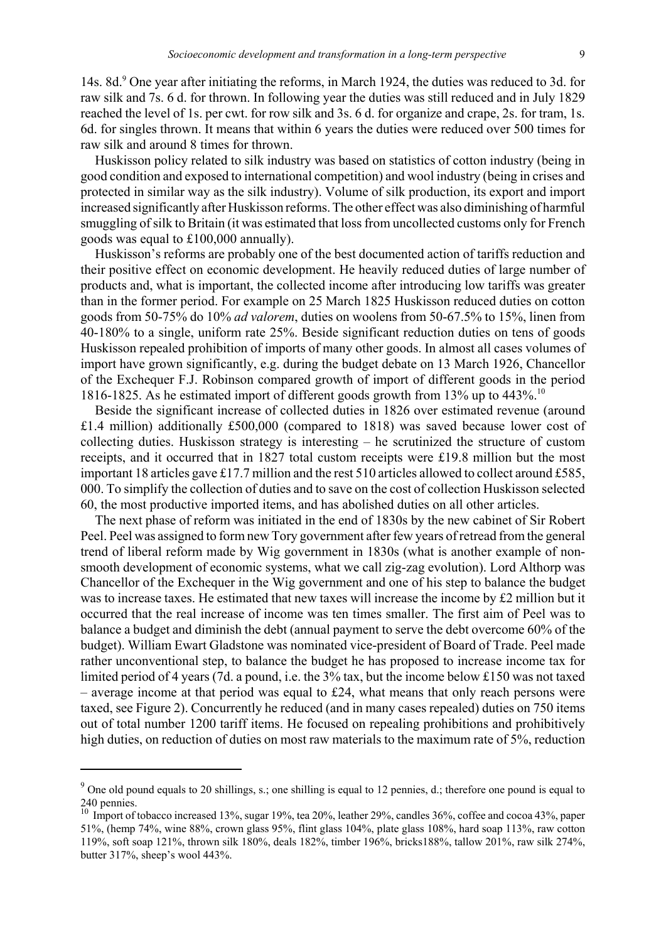14s. 8d.<sup>9</sup> One year after initiating the reforms, in March 1924, the duties was reduced to 3d. for raw silk and 7s. 6 d. for thrown. In following year the duties was still reduced and in July 1829 reached the level of 1s. per cwt. for row silk and 3s. 6 d. for organize and crape, 2s. for tram, 1s. 6d. for singles thrown. It means that within 6 years the duties were reduced over 500 times for raw silk and around 8 times for thrown.

Huskisson policy related to silk industry was based on statistics of cotton industry (being in good condition and exposed to international competition) and wool industry (being in crises and protected in similar way as the silk industry). Volume of silk production, its export and import increased significantly after Huskisson reforms. The other effect was also diminishing of harmful smuggling of silk to Britain (it was estimated that loss from uncollected customs only for French goods was equal to £100,000 annually).

Huskisson's reforms are probably one of the best documented action of tariffs reduction and their positive effect on economic development. He heavily reduced duties of large number of products and, what is important, the collected income after introducing low tariffs was greater than in the former period. For example on 25 March 1825 Huskisson reduced duties on cotton goods from 50-75% do 10% *ad valorem*, duties on woolens from 50-67.5% to 15%, linen from 40-180% to a single, uniform rate 25%. Beside significant reduction duties on tens of goods Huskisson repealed prohibition of imports of many other goods. In almost all cases volumes of import have grown significantly, e.g. during the budget debate on 13 March 1926, Chancellor of the Exchequer F.J. Robinson compared growth of import of different goods in the period 1816-1825. As he estimated import of different goods growth from 13% up to 443%.10

Beside the significant increase of collected duties in 1826 over estimated revenue (around £1.4 million) additionally £500,000 (compared to 1818) was saved because lower cost of collecting duties. Huskisson strategy is interesting – he scrutinized the structure of custom receipts, and it occurred that in 1827 total custom receipts were £19.8 million but the most important 18 articles gave £17.7 million and the rest 510 articles allowed to collect around £585, 000. To simplify the collection of duties and to save on the cost of collection Huskisson selected 60, the most productive imported items, and has abolished duties on all other articles.

The next phase of reform was initiated in the end of 1830s by the new cabinet of Sir Robert Peel. Peel was assigned to form new Tory government after few years of retread from the general trend of liberal reform made by Wig government in 1830s (what is another example of nonsmooth development of economic systems, what we call zig-zag evolution). Lord Althorp was Chancellor of the Exchequer in the Wig government and one of his step to balance the budget was to increase taxes. He estimated that new taxes will increase the income by £2 million but it occurred that the real increase of income was ten times smaller. The first aim of Peel was to balance a budget and diminish the debt (annual payment to serve the debt overcome 60% of the budget). William Ewart Gladstone was nominated vice-president of Board of Trade. Peel made rather unconventional step, to balance the budget he has proposed to increase income tax for limited period of 4 years (7d. a pound, i.e. the 3% tax, but the income below £150 was not taxed – average income at that period was equal to £24, what means that only reach persons were taxed, see Figure 2). Concurrently he reduced (and in many cases repealed) duties on 750 items out of total number 1200 tariff items. He focused on repealing prohibitions and prohibitively high duties, on reduction of duties on most raw materials to the maximum rate of 5%, reduction

<sup>&</sup>lt;sup>9</sup> One old pound equals to 20 shillings, s.; one shilling is equal to 12 pennies, d.; therefore one pound is equal to 240 pennies.

<sup>&</sup>lt;sup>10</sup> Import of tobacco increased 13%, sugar 19%, tea 20%, leather 29%, candles 36%, coffee and cocoa 43%, paper 51%, (hemp 74%, wine 88%, crown glass 95%, flint glass 104%, plate glass 108%, hard soap 113%, raw cotton 119%, soft soap 121%, thrown silk 180%, deals 182%, timber 196%, bricks188%, tallow 201%, raw silk 274%, butter 317%, sheep's wool 443%.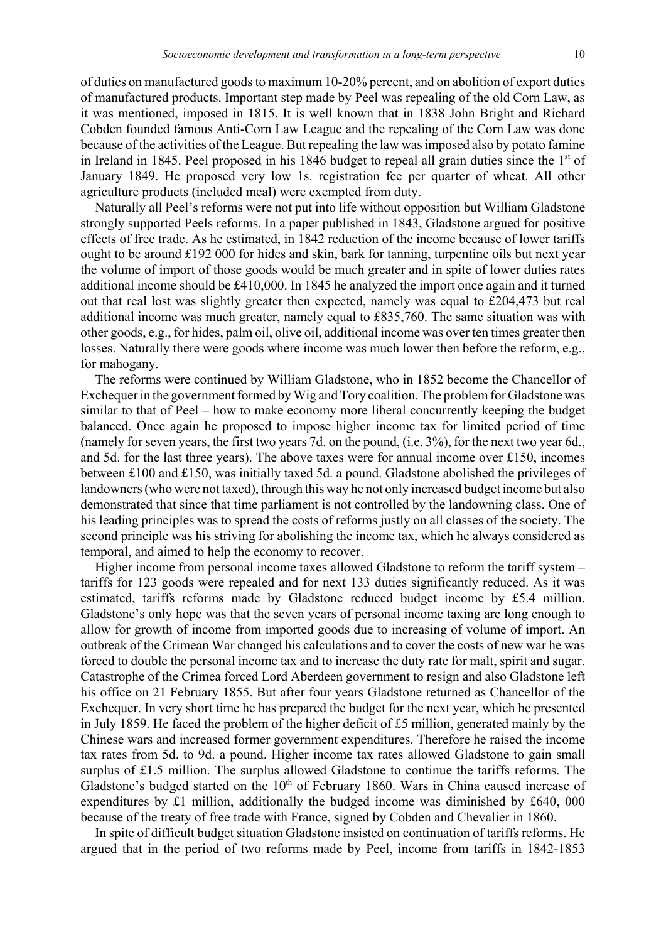of duties on manufactured goods to maximum 10-20% percent, and on abolition of export duties of manufactured products. Important step made by Peel was repealing of the old Corn Law, as it was mentioned, imposed in 1815. It is well known that in 1838 John Bright and Richard Cobden founded famous Anti-Corn Law League and the repealing of the Corn Law was done because of the activities of the League. But repealing the law was imposed also by potato famine in Ireland in 1845. Peel proposed in his 1846 budget to repeal all grain duties since the  $1<sup>st</sup>$  of January 1849. He proposed very low 1s. registration fee per quarter of wheat. All other agriculture products (included meal) were exempted from duty.

Naturally all Peel's reforms were not put into life without opposition but William Gladstone strongly supported Peels reforms. In a paper published in 1843, Gladstone argued for positive effects of free trade. As he estimated, in 1842 reduction of the income because of lower tariffs ought to be around £192 000 for hides and skin, bark for tanning, turpentine oils but next year the volume of import of those goods would be much greater and in spite of lower duties rates additional income should be £410,000. In 1845 he analyzed the import once again and it turned out that real lost was slightly greater then expected, namely was equal to £204,473 but real additional income was much greater, namely equal to £835,760. The same situation was with other goods, e.g., for hides, palm oil, olive oil, additional income was over ten times greater then losses. Naturally there were goods where income was much lower then before the reform, e.g., for mahogany.

The reforms were continued by William Gladstone, who in 1852 become the Chancellor of Exchequer in the government formed by Wig and Tory coalition. The problem for Gladstone was similar to that of Peel – how to make economy more liberal concurrently keeping the budget balanced. Once again he proposed to impose higher income tax for limited period of time (namely for seven years, the first two years 7d. on the pound, (i.e. 3%), for the next two year 6d., and 5d. for the last three years). The above taxes were for annual income over £150, incomes between £100 and £150, was initially taxed 5d. a pound. Gladstone abolished the privileges of landowners (who were not taxed), through this way he not only increased budget income but also demonstrated that since that time parliament is not controlled by the landowning class. One of his leading principles was to spread the costs of reforms justly on all classes of the society. The second principle was his striving for abolishing the income tax, which he always considered as temporal, and aimed to help the economy to recover.

Higher income from personal income taxes allowed Gladstone to reform the tariff system – tariffs for 123 goods were repealed and for next 133 duties significantly reduced. As it was estimated, tariffs reforms made by Gladstone reduced budget income by £5.4 million. Gladstone's only hope was that the seven years of personal income taxing are long enough to allow for growth of income from imported goods due to increasing of volume of import. An outbreak of the Crimean War changed his calculations and to cover the costs of new war he was forced to double the personal income tax and to increase the duty rate for malt, spirit and sugar. Catastrophe of the Crimea forced Lord Aberdeen government to resign and also Gladstone left his office on 21 February 1855. But after four years Gladstone returned as Chancellor of the Exchequer. In very short time he has prepared the budget for the next year, which he presented in July 1859. He faced the problem of the higher deficit of £5 million, generated mainly by the Chinese wars and increased former government expenditures. Therefore he raised the income tax rates from 5d. to 9d. a pound. Higher income tax rates allowed Gladstone to gain small surplus of £1.5 million. The surplus allowed Gladstone to continue the tariffs reforms. The Gladstone's budged started on the  $10<sup>th</sup>$  of February 1860. Wars in China caused increase of expenditures by £1 million, additionally the budged income was diminished by £640, 000 because of the treaty of free trade with France, signed by Cobden and Chevalier in 1860.

In spite of difficult budget situation Gladstone insisted on continuation of tariffs reforms. He argued that in the period of two reforms made by Peel, income from tariffs in 1842-1853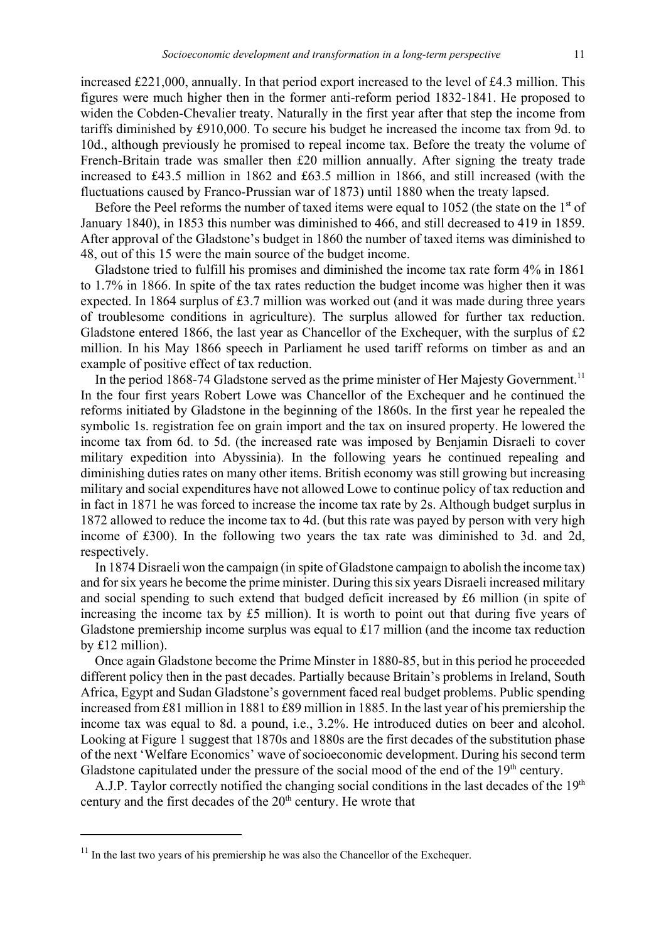increased £221,000, annually. In that period export increased to the level of £4.3 million. This figures were much higher then in the former anti-reform period 1832-1841. He proposed to widen the Cobden-Chevalier treaty. Naturally in the first year after that step the income from tariffs diminished by £910,000. To secure his budget he increased the income tax from 9d. to 10d., although previously he promised to repeal income tax. Before the treaty the volume of French-Britain trade was smaller then £20 million annually. After signing the treaty trade increased to £43.5 million in 1862 and £63.5 million in 1866, and still increased (with the fluctuations caused by Franco-Prussian war of 1873) until 1880 when the treaty lapsed.

Before the Peel reforms the number of taxed items were equal to  $1052$  (the state on the  $1<sup>st</sup>$  of January 1840), in 1853 this number was diminished to 466, and still decreased to 419 in 1859. After approval of the Gladstone's budget in 1860 the number of taxed items was diminished to 48, out of this 15 were the main source of the budget income.

Gladstone tried to fulfill his promises and diminished the income tax rate form 4% in 1861 to 1.7% in 1866. In spite of the tax rates reduction the budget income was higher then it was expected. In 1864 surplus of £3.7 million was worked out (and it was made during three years of troublesome conditions in agriculture). The surplus allowed for further tax reduction. Gladstone entered 1866, the last year as Chancellor of the Exchequer, with the surplus of £2 million. In his May 1866 speech in Parliament he used tariff reforms on timber as and an example of positive effect of tax reduction.

In the period 1868-74 Gladstone served as the prime minister of Her Majesty Government.<sup>11</sup> In the four first years Robert Lowe was Chancellor of the Exchequer and he continued the reforms initiated by Gladstone in the beginning of the 1860s. In the first year he repealed the symbolic 1s. registration fee on grain import and the tax on insured property. He lowered the income tax from 6d. to 5d. (the increased rate was imposed by Benjamin Disraeli to cover military expedition into Abyssinia). In the following years he continued repealing and diminishing duties rates on many other items. British economy was still growing but increasing military and social expenditures have not allowed Lowe to continue policy of tax reduction and in fact in 1871 he was forced to increase the income tax rate by 2s. Although budget surplus in 1872 allowed to reduce the income tax to 4d. (but this rate was payed by person with very high income of £300). In the following two years the tax rate was diminished to 3d. and 2d, respectively.

In 1874 Disraeli won the campaign (in spite of Gladstone campaign to abolish the income tax) and for six years he become the prime minister. During this six years Disraeli increased military and social spending to such extend that budged deficit increased by £6 million (in spite of increasing the income tax by £5 million). It is worth to point out that during five years of Gladstone premiership income surplus was equal to £17 million (and the income tax reduction by £12 million).

Once again Gladstone become the Prime Minster in 1880-85, but in this period he proceeded different policy then in the past decades. Partially because Britain's problems in Ireland, South Africa, Egypt and Sudan Gladstone's government faced real budget problems. Public spending increased from £81 million in 1881 to £89 million in 1885. In the last year of his premiership the income tax was equal to 8d. a pound, i.e., 3.2%. He introduced duties on beer and alcohol. Looking at Figure 1 suggest that 1870s and 1880s are the first decades of the substitution phase of the next 'Welfare Economics' wave of socioeconomic development. During his second term Gladstone capitulated under the pressure of the social mood of the end of the  $19<sup>th</sup>$  century.

A.J.P. Taylor correctly notified the changing social conditions in the last decades of the  $19<sup>th</sup>$ century and the first decades of the  $20<sup>th</sup>$  century. He wrote that

 $11$  In the last two years of his premiership he was also the Chancellor of the Exchequer.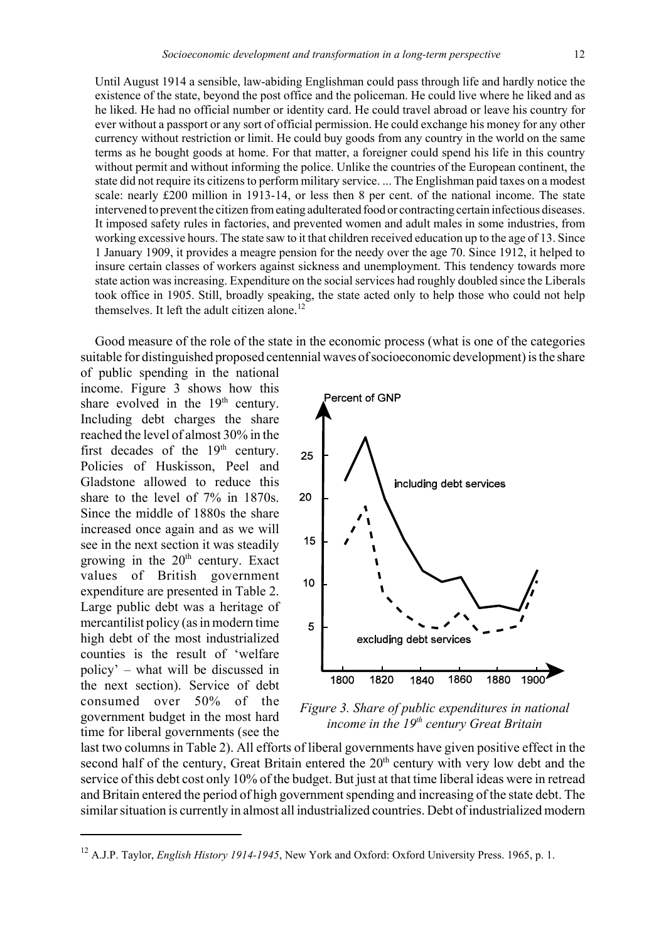Until August 1914 a sensible, law-abiding Englishman could pass through life and hardly notice the existence of the state, beyond the post office and the policeman. He could live where he liked and as he liked. He had no official number or identity card. He could travel abroad or leave his country for ever without a passport or any sort of official permission. He could exchange his money for any other currency without restriction or limit. He could buy goods from any country in the world on the same terms as he bought goods at home. For that matter, a foreigner could spend his life in this country without permit and without informing the police. Unlike the countries of the European continent, the state did not require its citizens to perform military service. ... The Englishman paid taxes on a modest scale: nearly £200 million in 1913-14, or less then 8 per cent. of the national income. The state intervened to prevent the citizen from eating adulterated food or contracting certain infectious diseases. It imposed safety rules in factories, and prevented women and adult males in some industries, from working excessive hours. The state saw to it that children received education up to the age of 13. Since 1 January 1909, it provides a meagre pension for the needy over the age 70. Since 1912, it helped to insure certain classes of workers against sickness and unemployment. This tendency towards more state action was increasing. Expenditure on the social services had roughly doubled since the Liberals took office in 1905. Still, broadly speaking, the state acted only to help those who could not help themselves. It left the adult citizen alone.<sup>12</sup>

Good measure of the role of the state in the economic process (what is one of the categories suitable for distinguished proposed centennial waves of socioeconomic development) is the share

of public spending in the national income. Figure 3 shows how this share evolved in the  $19<sup>th</sup>$  century. Including debt charges the share reached the level of almost 30% in the first decades of the  $19<sup>th</sup>$  century. Policies of Huskisson, Peel and Gladstone allowed to reduce this share to the level of 7% in 1870s. Since the middle of 1880s the share increased once again and as we will see in the next section it was steadily growing in the  $20<sup>th</sup>$  century. Exact values of British government expenditure are presented in Table 2. Large public debt was a heritage of mercantilist policy (as in modern time high debt of the most industrialized counties is the result of 'welfare policy' – what will be discussed in the next section). Service of debt consumed over 50% of the government budget in the most hard time for liberal governments (see the



*Figure 3. Share of public expenditures in national income in the 19th century Great Britain*

last two columns in Table 2). All efforts of liberal governments have given positive effect in the second half of the century, Great Britain entered the 20<sup>th</sup> century with very low debt and the service of this debt cost only 10% of the budget. But just at that time liberal ideas were in retread and Britain entered the period of high government spending and increasing of the state debt. The similar situation is currently in almost all industrialized countries. Debt of industrialized modern

<sup>12</sup> A.J.P. Taylor, *English History 1914-1945*, New York and Oxford: Oxford University Press. 1965, p. 1.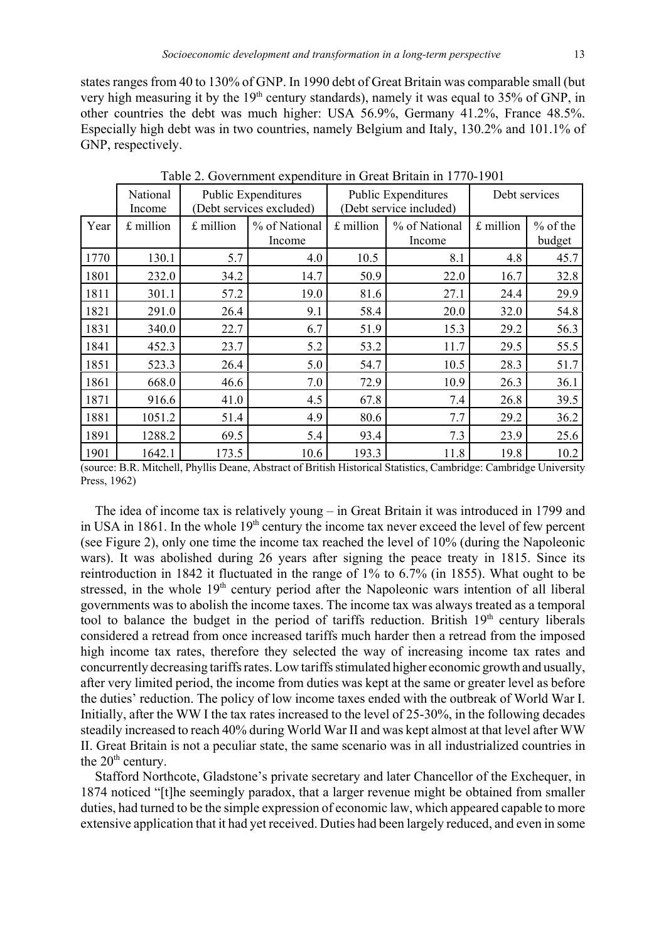states ranges from 40 to 130% of GNP. In 1990 debt of Great Britain was comparable small (but very high measuring it by the 19<sup>th</sup> century standards), namely it was equal to 35% of GNP, in other countries the debt was much higher: USA 56.9%, Germany 41.2%, France 48.5%. Especially high debt was in two countries, namely Belgium and Italy, 130.2% and 101.1% of GNP, respectively.

|      | National<br>Income |           | <b>Public Expenditures</b><br>(Debt services excluded) | <b>Public Expenditures</b><br>(Debt service included) |                         | Debt services |                      |
|------|--------------------|-----------|--------------------------------------------------------|-------------------------------------------------------|-------------------------|---------------|----------------------|
| Year | £ million          | £ million | % of National<br>Income                                | £ million                                             | % of National<br>Income | £ million     | $%$ of the<br>budget |
| 1770 | 130.1              | 5.7       | 4.0                                                    | 10.5                                                  | 8.1                     | 4.8           | 45.7                 |
| 1801 | 232.0              | 34.2      | 14.7                                                   | 50.9                                                  | 22.0                    | 16.7          | 32.8                 |
| 1811 | 301.1              | 57.2      | 19.0                                                   | 81.6                                                  | 27.1                    | 24.4          | 29.9                 |
| 1821 | 291.0              | 26.4      | 9.1                                                    | 58.4                                                  | 20.0                    | 32.0          | 54.8                 |
| 1831 | 340.0              | 22.7      | 6.7                                                    | 51.9                                                  | 15.3                    | 29.2          | 56.3                 |
| 1841 | 452.3              | 23.7      | 5.2                                                    | 53.2                                                  | 11.7                    | 29.5          | 55.5                 |
| 1851 | 523.3              | 26.4      | 5.0                                                    | 54.7                                                  | 10.5                    | 28.3          | 51.7                 |
| 1861 | 668.0              | 46.6      | 7.0                                                    | 72.9                                                  | 10.9                    | 26.3          | 36.1                 |
| 1871 | 916.6              | 41.0      | 4.5                                                    | 67.8                                                  | 7.4                     | 26.8          | 39.5                 |
| 1881 | 1051.2             | 51.4      | 4.9                                                    | 80.6                                                  | 7.7                     | 29.2          | 36.2                 |
| 1891 | 1288.2             | 69.5      | 5.4                                                    | 93.4                                                  | 7.3                     | 23.9          | 25.6                 |
| 1901 | 1642.1             | 173.5     | 10.6                                                   | 193.3                                                 | 11.8                    | 19.8          | 10.2                 |

Table 2. Government expenditure in Great Britain in 1770-1901

(source: B.R. Mitchell, Phyllis Deane, Abstract of British Historical Statistics, Cambridge: Cambridge University Press, 1962)

The idea of income tax is relatively young – in Great Britain it was introduced in 1799 and in USA in 1861. In the whole  $19<sup>th</sup>$  century the income tax never exceed the level of few percent (see Figure 2), only one time the income tax reached the level of 10% (during the Napoleonic wars). It was abolished during 26 years after signing the peace treaty in 1815. Since its reintroduction in 1842 it fluctuated in the range of 1% to 6.7% (in 1855). What ought to be stressed, in the whole  $19<sup>th</sup>$  century period after the Napoleonic wars intention of all liberal governments was to abolish the income taxes. The income tax was always treated as a temporal tool to balance the budget in the period of tariffs reduction. British  $19<sup>th</sup>$  century liberals considered a retread from once increased tariffs much harder then a retread from the imposed high income tax rates, therefore they selected the way of increasing income tax rates and concurrently decreasing tariffs rates. Low tariffs stimulated higher economic growth and usually, after very limited period, the income from duties was kept at the same or greater level as before the duties' reduction. The policy of low income taxes ended with the outbreak of World War I. Initially, after the WW I the tax rates increased to the level of 25-30%, in the following decades steadily increased to reach 40% during World War II and was kept almost at that level after WW II. Great Britain is not a peculiar state, the same scenario was in all industrialized countries in the  $20<sup>th</sup>$  century.

Stafford Northcote, Gladstone's private secretary and later Chancellor of the Exchequer, in 1874 noticed "[t]he seemingly paradox, that a larger revenue might be obtained from smaller duties, had turned to be the simple expression of economic law, which appeared capable to more extensive application that it had yet received. Duties had been largely reduced, and even in some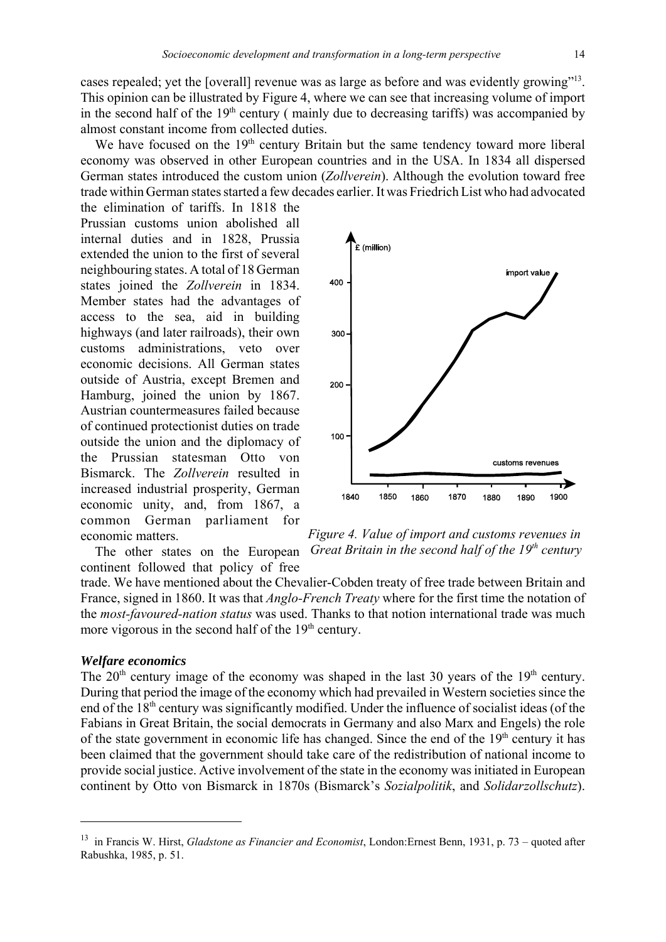cases repealed; yet the [overall] revenue was as large as before and was evidently growing"13. This opinion can be illustrated by Figure 4, where we can see that increasing volume of import in the second half of the  $19<sup>th</sup>$  century (mainly due to decreasing tariffs) was accompanied by almost constant income from collected duties.

We have focused on the  $19<sup>th</sup>$  century Britain but the same tendency toward more liberal economy was observed in other European countries and in the USA. In 1834 all dispersed German states introduced the custom union (*Zollverein*). Although the evolution toward free trade within German states started a few decades earlier. It was Friedrich List who had advocated

400

300

(million)

the elimination of tariffs. In 1818 the Prussian customs union abolished all internal duties and in 1828, Prussia extended the union to the first of several neighbouring states. A total of 18 German states joined the *Zollverein* in 1834. Member states had the advantages of access to the sea, aid in building highways (and later railroads), their own customs administrations, veto over economic decisions. All German states outside of Austria, except Bremen and Hamburg, joined the union by 1867. Austrian countermeasures failed because of continued protectionist duties on trade outside the union and the diplomacy of the Prussian statesman Otto von Bismarck. The *Zollverein* resulted in increased industrial prosperity, German economic unity, and, from 1867, a common German parliament for economic matters.

continent followed that policy of free



*Figure 4. Value of import and customs revenues in* The other states on the European *Great Britain in the second half of the 19<sup>th</sup> century* 

trade. We have mentioned about the Chevalier-Cobden treaty of free trade between Britain and France, signed in 1860. It was that *Anglo-French Treaty* where for the first time the notation of the *most-favoured-nation status* was used. Thanks to that notion international trade was much more vigorous in the second half of the  $19<sup>th</sup>$  century.

#### *Welfare economics*

The  $20<sup>th</sup>$  century image of the economy was shaped in the last 30 years of the 19<sup>th</sup> century. During that period the image of the economy which had prevailed in Western societies since the end of the 18<sup>th</sup> century was significantly modified. Under the influence of socialist ideas (of the Fabians in Great Britain, the social democrats in Germany and also Marx and Engels) the role of the state government in economic life has changed. Since the end of the  $19<sup>th</sup>$  century it has been claimed that the government should take care of the redistribution of national income to provide social justice. Active involvement of the state in the economy was initiated in European continent by Otto von Bismarck in 1870s (Bismarck's *Sozialpolitik*, and *Solidarzollschutz*).

import valu

<sup>13</sup> in Francis W. Hirst, *Gladstone as Financier and Economist*, London:Ernest Benn, 1931, p. 73 – quoted after Rabushka, 1985, p. 51.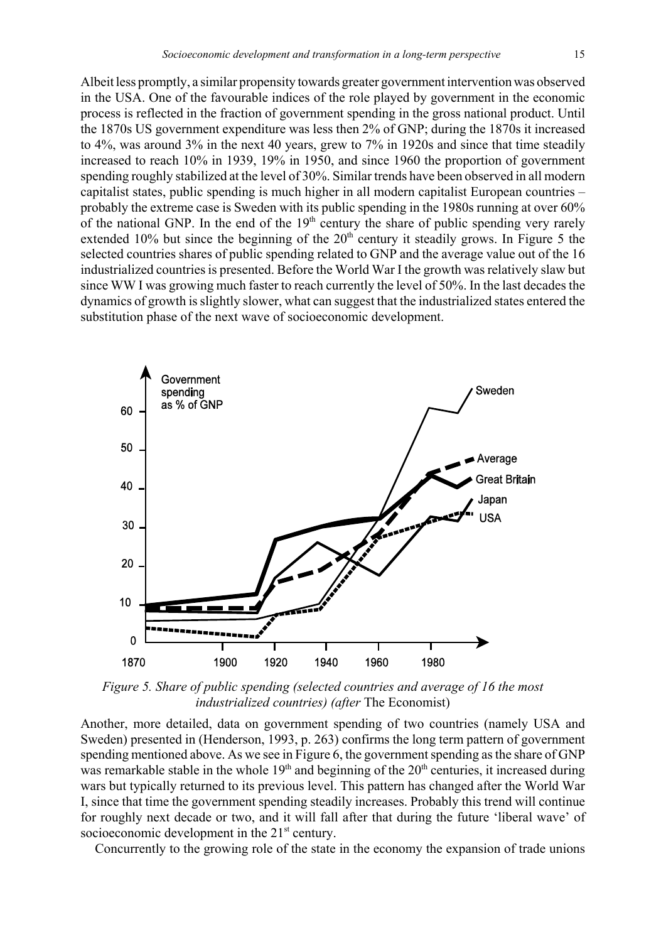Albeit less promptly, a similar propensity towards greater government intervention was observed in the USA. One of the favourable indices of the role played by government in the economic process is reflected in the fraction of government spending in the gross national product. Until the 1870s US government expenditure was less then 2% of GNP; during the 1870s it increased to 4%, was around 3% in the next 40 years, grew to 7% in 1920s and since that time steadily increased to reach 10% in 1939, 19% in 1950, and since 1960 the proportion of government spending roughly stabilized at the level of 30%. Similar trends have been observed in all modern capitalist states, public spending is much higher in all modern capitalist European countries – probably the extreme case is Sweden with its public spending in the 1980s running at over 60% of the national GNP. In the end of the  $19<sup>th</sup>$  century the share of public spending very rarely extended 10% but since the beginning of the  $20<sup>th</sup>$  century it steadily grows. In Figure 5 the selected countries shares of public spending related to GNP and the average value out of the 16 industrialized countries is presented. Before the World War I the growth was relatively slaw but since WW I was growing much faster to reach currently the level of 50%. In the last decades the dynamics of growth is slightly slower, what can suggest that the industrialized states entered the substitution phase of the next wave of socioeconomic development.



*Figure 5. Share of public spending (selected countries and average of 16 the most industrialized countries) (after* The Economist)

Another, more detailed, data on government spending of two countries (namely USA and Sweden) presented in (Henderson, 1993, p. 263) confirms the long term pattern of government spending mentioned above. As we see in Figure 6, the government spending as the share of GNP was remarkable stable in the whole 19<sup>th</sup> and beginning of the 20<sup>th</sup> centuries, it increased during wars but typically returned to its previous level. This pattern has changed after the World War I, since that time the government spending steadily increases. Probably this trend will continue for roughly next decade or two, and it will fall after that during the future 'liberal wave' of socioeconomic development in the  $21<sup>st</sup>$  century.

Concurrently to the growing role of the state in the economy the expansion of trade unions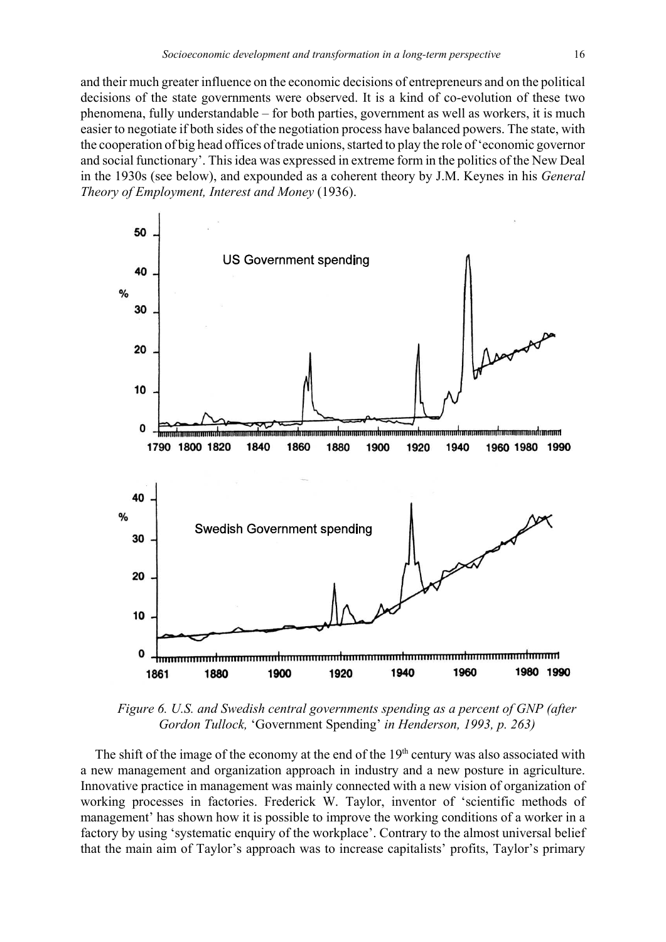and their much greater influence on the economic decisions of entrepreneurs and on the political decisions of the state governments were observed. It is a kind of co-evolution of these two phenomena, fully understandable – for both parties, government as well as workers, it is much easier to negotiate if both sides of the negotiation process have balanced powers. The state, with the cooperation of big head offices of trade unions, started to play the role of 'economic governor and social functionary'. This idea was expressed in extreme form in the politics of the New Deal in the 1930s (see below), and expounded as a coherent theory by J.M. Keynes in his *General Theory of Employment, Interest and Money* (1936).



*Figure 6. U.S. and Swedish central governments spending as a percent of GNP (after Gordon Tullock,* 'Government Spending' *in Henderson, 1993, p. 263)*

The shift of the image of the economy at the end of the  $19<sup>th</sup>$  century was also associated with a new management and organization approach in industry and a new posture in agriculture. Innovative practice in management was mainly connected with a new vision of organization of working processes in factories. Frederick W. Taylor, inventor of 'scientific methods of management' has shown how it is possible to improve the working conditions of a worker in a factory by using 'systematic enquiry of the workplace'. Contrary to the almost universal belief that the main aim of Taylor's approach was to increase capitalists' profits, Taylor's primary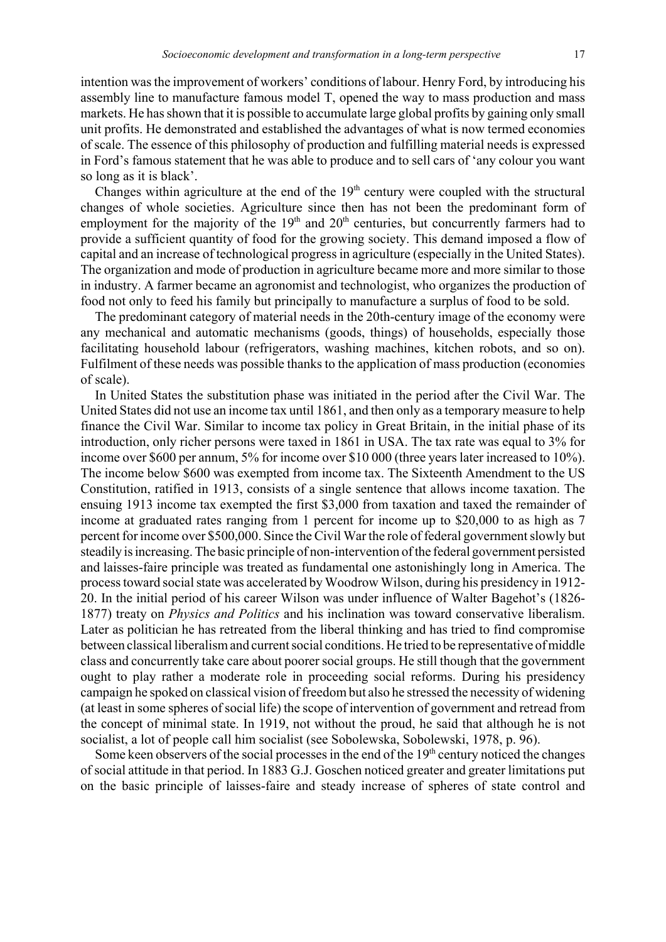intention was the improvement of workers' conditions of labour. Henry Ford, by introducing his assembly line to manufacture famous model T, opened the way to mass production and mass markets. He has shown that it is possible to accumulate large global profits by gaining only small unit profits. He demonstrated and established the advantages of what is now termed economies of scale. The essence of this philosophy of production and fulfilling material needs is expressed in Ford's famous statement that he was able to produce and to sell cars of 'any colour you want so long as it is black'.

Changes within agriculture at the end of the  $19<sup>th</sup>$  century were coupled with the structural changes of whole societies. Agriculture since then has not been the predominant form of employment for the majority of the  $19<sup>th</sup>$  and  $20<sup>th</sup>$  centuries, but concurrently farmers had to provide a sufficient quantity of food for the growing society. This demand imposed a flow of capital and an increase of technological progress in agriculture (especially in the United States). The organization and mode of production in agriculture became more and more similar to those in industry. A farmer became an agronomist and technologist, who organizes the production of food not only to feed his family but principally to manufacture a surplus of food to be sold.

The predominant category of material needs in the 20th-century image of the economy were any mechanical and automatic mechanisms (goods, things) of households, especially those facilitating household labour (refrigerators, washing machines, kitchen robots, and so on). Fulfilment of these needs was possible thanks to the application of mass production (economies of scale).

In United States the substitution phase was initiated in the period after the Civil War. The United States did not use an income tax until 1861, and then only as a temporary measure to help finance the Civil War. Similar to income tax policy in Great Britain, in the initial phase of its introduction, only richer persons were taxed in 1861 in USA. The tax rate was equal to 3% for income over \$600 per annum, 5% for income over \$10 000 (three years later increased to 10%). The income below \$600 was exempted from income tax. The Sixteenth Amendment to the US Constitution, ratified in 1913, consists of a single sentence that allows income taxation. The ensuing 1913 income tax exempted the first \$3,000 from taxation and taxed the remainder of income at graduated rates ranging from 1 percent for income up to \$20,000 to as high as 7 percent for income over \$500,000. Since the Civil War the role of federal government slowly but steadily is increasing. The basic principle of non-intervention of the federal government persisted and laisses-faire principle was treated as fundamental one astonishingly long in America. The process toward social state was accelerated by Woodrow Wilson, during his presidency in 1912- 20. In the initial period of his career Wilson was under influence of Walter Bagehot's (1826- 1877) treaty on *Physics and Politics* and his inclination was toward conservative liberalism. Later as politician he has retreated from the liberal thinking and has tried to find compromise between classical liberalism and current social conditions. He tried to be representative of middle class and concurrently take care about poorer social groups. He still though that the government ought to play rather a moderate role in proceeding social reforms. During his presidency campaign he spoked on classical vision of freedom but also he stressed the necessity of widening (at least in some spheres of social life) the scope of intervention of government and retread from the concept of minimal state. In 1919, not without the proud, he said that although he is not socialist, a lot of people call him socialist (see Sobolewska, Sobolewski, 1978, p. 96).

Some keen observers of the social processes in the end of the  $19<sup>th</sup>$  century noticed the changes of social attitude in that period. In 1883 G.J. Goschen noticed greater and greater limitations put on the basic principle of laisses-faire and steady increase of spheres of state control and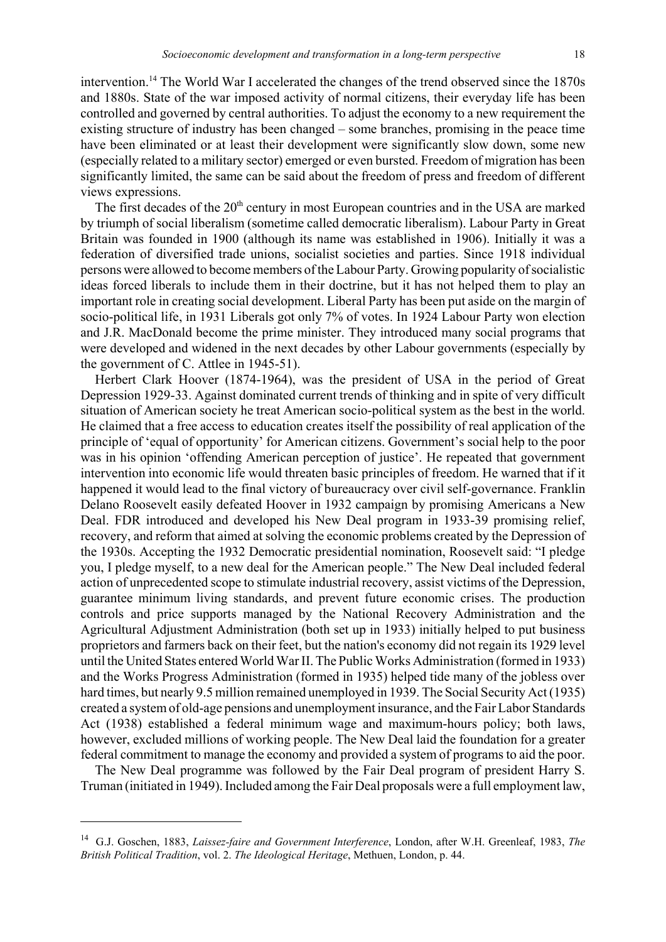intervention.14 The World War I accelerated the changes of the trend observed since the 1870s and 1880s. State of the war imposed activity of normal citizens, their everyday life has been controlled and governed by central authorities. To adjust the economy to a new requirement the existing structure of industry has been changed – some branches, promising in the peace time have been eliminated or at least their development were significantly slow down, some new (especially related to a military sector) emerged or even bursted. Freedom of migration has been significantly limited, the same can be said about the freedom of press and freedom of different views expressions.

The first decades of the 20<sup>th</sup> century in most European countries and in the USA are marked by triumph of social liberalism (sometime called democratic liberalism). Labour Party in Great Britain was founded in 1900 (although its name was established in 1906). Initially it was a federation of diversified trade unions, socialist societies and parties. Since 1918 individual persons were allowed to become members of the Labour Party. Growing popularity of socialistic ideas forced liberals to include them in their doctrine, but it has not helped them to play an important role in creating social development. Liberal Party has been put aside on the margin of socio-political life, in 1931 Liberals got only 7% of votes. In 1924 Labour Party won election and J.R. MacDonald become the prime minister. They introduced many social programs that were developed and widened in the next decades by other Labour governments (especially by the government of C. Attlee in 1945-51).

Herbert Clark Hoover (1874-1964), was the president of USA in the period of Great Depression 1929-33. Against dominated current trends of thinking and in spite of very difficult situation of American society he treat American socio-political system as the best in the world. He claimed that a free access to education creates itself the possibility of real application of the principle of 'equal of opportunity' for American citizens. Government's social help to the poor was in his opinion 'offending American perception of justice'. He repeated that government intervention into economic life would threaten basic principles of freedom. He warned that if it happened it would lead to the final victory of bureaucracy over civil self-governance. Franklin Delano Roosevelt easily defeated Hoover in 1932 campaign by promising Americans a New Deal. FDR introduced and developed his New Deal program in 1933-39 promising relief, recovery, and reform that aimed at solving the economic problems created by the Depression of the 1930s. Accepting the 1932 Democratic presidential nomination, Roosevelt said: "I pledge you, I pledge myself, to a new deal for the American people." The New Deal included federal action of unprecedented scope to stimulate industrial recovery, assist victims of the Depression, guarantee minimum living standards, and prevent future economic crises. The production controls and price supports managed by the National Recovery Administration and the Agricultural Adjustment Administration (both set up in 1933) initially helped to put business proprietors and farmers back on their feet, but the nation's economy did not regain its 1929 level until the United States entered World War II. The Public Works Administration (formed in 1933) and the Works Progress Administration (formed in 1935) helped tide many of the jobless over hard times, but nearly 9.5 million remained unemployed in 1939. The Social Security Act (1935) created a system of old-age pensions and unemployment insurance, and the Fair Labor Standards Act (1938) established a federal minimum wage and maximum-hours policy; both laws, however, excluded millions of working people. The New Deal laid the foundation for a greater federal commitment to manage the economy and provided a system of programs to aid the poor.

The New Deal programme was followed by the Fair Deal program of president Harry S. Truman (initiated in 1949). Included among the Fair Deal proposals were a full employment law,

<sup>14</sup> G.J. Goschen, 1883, *Laissez-faire and Government Interference*, London, after W.H. Greenleaf, 1983, *The British Political Tradition*, vol. 2. *The Ideological Heritage*, Methuen, London, p. 44.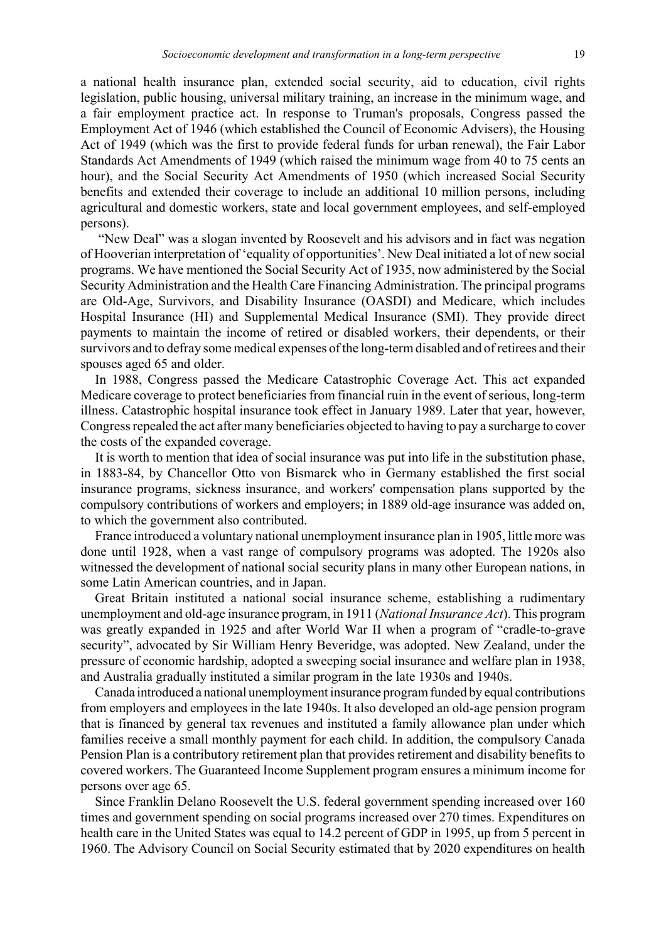a national health insurance plan, extended social security, aid to education, civil rights legislation, public housing, universal military training, an increase in the minimum wage, and a fair employment practice act. In response to Truman's proposals, Congress passed the Employment Act of 1946 (which established the Council of Economic Advisers), the Housing Act of 1949 (which was the first to provide federal funds for urban renewal), the Fair Labor Standards Act Amendments of 1949 (which raised the minimum wage from 40 to 75 cents an hour), and the Social Security Act Amendments of 1950 (which increased Social Security benefits and extended their coverage to include an additional 10 million persons, including agricultural and domestic workers, state and local government employees, and self-employed persons).

 "New Deal" was a slogan invented by Roosevelt and his advisors and in fact was negation of Hooverian interpretation of 'equality of opportunities'. New Deal initiated a lot of new social programs. We have mentioned the Social Security Act of 1935, now administered by the Social Security Administration and the Health Care Financing Administration. The principal programs are Old-Age, Survivors, and Disability Insurance (OASDI) and Medicare, which includes Hospital Insurance (HI) and Supplemental Medical Insurance (SMI). They provide direct payments to maintain the income of retired or disabled workers, their dependents, or their survivors and to defray some medical expenses of the long-term disabled and of retirees and their spouses aged 65 and older.

In 1988, Congress passed the Medicare Catastrophic Coverage Act. This act expanded Medicare coverage to protect beneficiaries from financial ruin in the event of serious, long-term illness. Catastrophic hospital insurance took effect in January 1989. Later that year, however, Congress repealed the act after many beneficiaries objected to having to pay a surcharge to cover the costs of the expanded coverage.

It is worth to mention that idea of social insurance was put into life in the substitution phase, in 1883-84, by Chancellor Otto von Bismarck who in Germany established the first social insurance programs, sickness insurance, and workers' compensation plans supported by the compulsory contributions of workers and employers; in 1889 old-age insurance was added on, to which the government also contributed.

France introduced a voluntary national unemployment insurance plan in 1905, little more was done until 1928, when a vast range of compulsory programs was adopted. The 1920s also witnessed the development of national social security plans in many other European nations, in some Latin American countries, and in Japan.

Great Britain instituted a national social insurance scheme, establishing a rudimentary unemployment and old-age insurance program, in 1911 (*National Insurance Act*). This program was greatly expanded in 1925 and after World War II when a program of "cradle-to-grave security", advocated by Sir William Henry Beveridge, was adopted. New Zealand, under the pressure of economic hardship, adopted a sweeping social insurance and welfare plan in 1938, and Australia gradually instituted a similar program in the late 1930s and 1940s.

Canada introduced a national unemployment insurance program funded by equal contributions from employers and employees in the late 1940s. It also developed an old-age pension program that is financed by general tax revenues and instituted a family allowance plan under which families receive a small monthly payment for each child. In addition, the compulsory Canada Pension Plan is a contributory retirement plan that provides retirement and disability benefits to covered workers. The Guaranteed Income Supplement program ensures a minimum income for persons over age 65.

Since Franklin Delano Roosevelt the U.S. federal government spending increased over 160 times and government spending on social programs increased over 270 times. Expenditures on health care in the United States was equal to 14.2 percent of GDP in 1995, up from 5 percent in 1960. The Advisory Council on Social Security estimated that by 2020 expenditures on health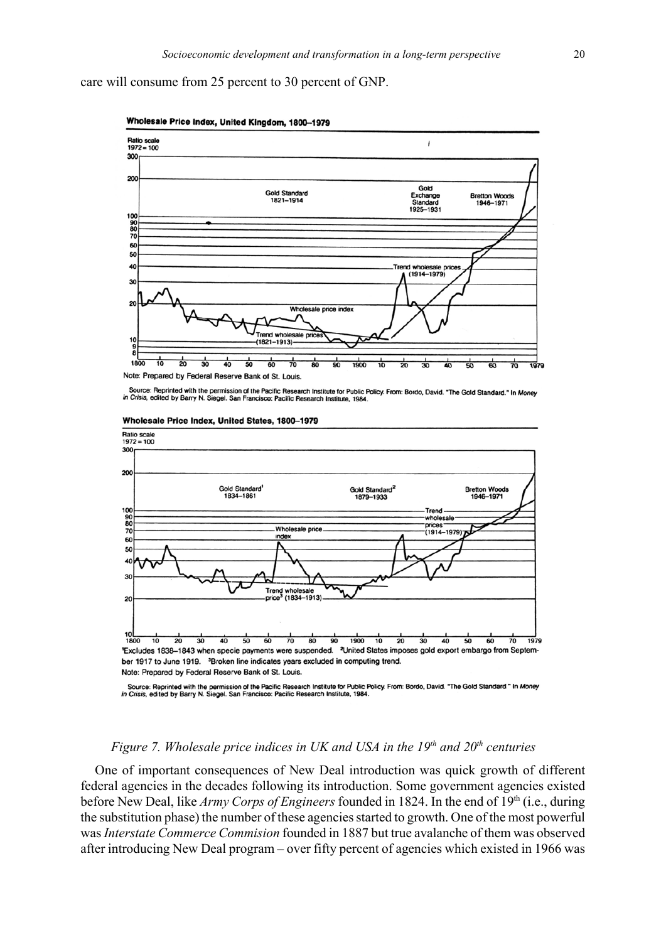care will consume from 25 percent to 30 percent of GNP.



Wholesale Price Index, United Kingdom, 1800-1979

Source: Reprinted with the permission of the Pacific Research Institute for Public Policy. From: Bordo, David. "The Gold Standard." In Money<br>in Crisis, edited by Barry N. Siegel. San Francisco: Pacific Research Institute,



Wholesale Price Index, United States, 1800-1979

Source: Reprinted with the permission of the Pacific Research Institute for Public Policy. From: Bordo, David. "The Gold Standard." In Money<br>in Crisis, edited by Barry N. Siegel. San Francisco: Pacific Research Institute,

## *Figure 7. Wholesale price indices in UK and USA in the 19<sup>th</sup> and 20<sup>th</sup> centuries*

One of important consequences of New Deal introduction was quick growth of different federal agencies in the decades following its introduction. Some government agencies existed before New Deal, like *Army Corps of Engineers* founded in 1824. In the end of 19<sup>th</sup> (i.e., during the substitution phase) the number of these agencies started to growth. One of the most powerful was *Interstate Commerce Commision* founded in 1887 but true avalanche of them was observed after introducing New Deal program – over fifty percent of agencies which existed in 1966 was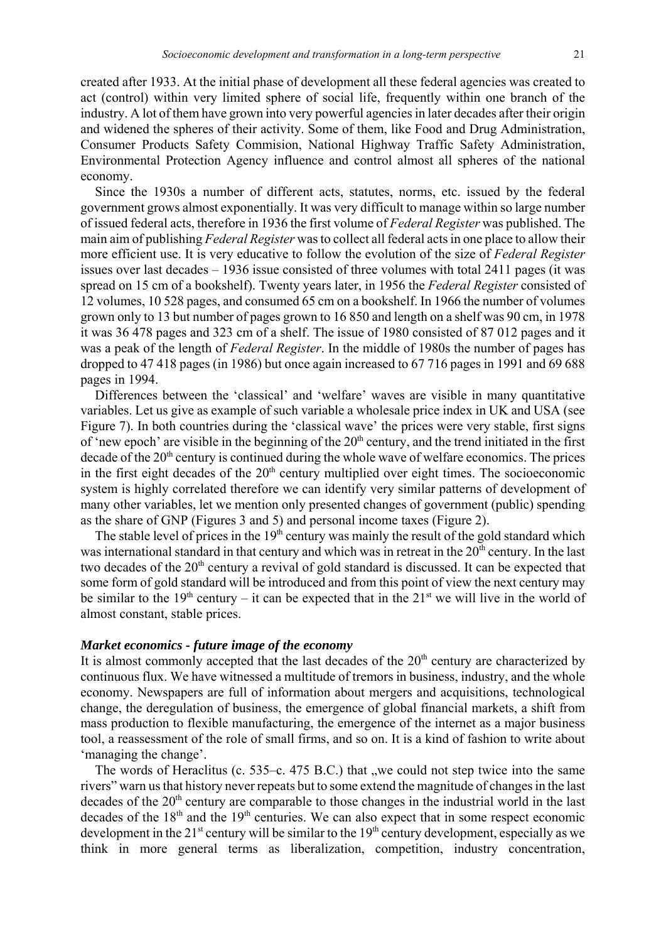created after 1933. At the initial phase of development all these federal agencies was created to act (control) within very limited sphere of social life, frequently within one branch of the industry. A lot of them have grown into very powerful agencies in later decades after their origin and widened the spheres of their activity. Some of them, like Food and Drug Administration, Consumer Products Safety Commision, National Highway Traffic Safety Administration, Environmental Protection Agency influence and control almost all spheres of the national economy.

Since the 1930s a number of different acts, statutes, norms, etc. issued by the federal government grows almost exponentially. It was very difficult to manage within so large number of issued federal acts, therefore in 1936 the first volume of *Federal Register* was published. The main aim of publishing *Federal Register* was to collect all federal acts in one place to allow their more efficient use. It is very educative to follow the evolution of the size of *Federal Register* issues over last decades – 1936 issue consisted of three volumes with total 2411 pages (it was spread on 15 cm of a bookshelf). Twenty years later, in 1956 the *Federal Register* consisted of 12 volumes, 10 528 pages, and consumed 65 cm on a bookshelf. In 1966 the number of volumes grown only to 13 but number of pages grown to 16 850 and length on a shelf was 90 cm, in 1978 it was 36 478 pages and 323 cm of a shelf. The issue of 1980 consisted of 87 012 pages and it was a peak of the length of *Federal Register*. In the middle of 1980s the number of pages has dropped to 47 418 pages (in 1986) but once again increased to 67 716 pages in 1991 and 69 688 pages in 1994.

Differences between the 'classical' and 'welfare' waves are visible in many quantitative variables. Let us give as example of such variable a wholesale price index in UK and USA (see Figure 7). In both countries during the 'classical wave' the prices were very stable, first signs of 'new epoch' are visible in the beginning of the  $20<sup>th</sup>$  century, and the trend initiated in the first decade of the  $20<sup>th</sup>$  century is continued during the whole wave of welfare economics. The prices in the first eight decades of the  $20<sup>th</sup>$  century multiplied over eight times. The socioeconomic system is highly correlated therefore we can identify very similar patterns of development of many other variables, let we mention only presented changes of government (public) spending as the share of GNP (Figures 3 and 5) and personal income taxes (Figure 2).

The stable level of prices in the  $19<sup>th</sup>$  century was mainly the result of the gold standard which was international standard in that century and which was in retreat in the 20<sup>th</sup> century. In the last two decades of the 20<sup>th</sup> century a revival of gold standard is discussed. It can be expected that some form of gold standard will be introduced and from this point of view the next century may be similar to the  $19<sup>th</sup>$  century – it can be expected that in the  $21<sup>st</sup>$  we will live in the world of almost constant, stable prices.

### *Market economics - future image of the economy*

It is almost commonly accepted that the last decades of the  $20<sup>th</sup>$  century are characterized by continuous flux. We have witnessed a multitude of tremors in business, industry, and the whole economy. Newspapers are full of information about mergers and acquisitions, technological change, the deregulation of business, the emergence of global financial markets, a shift from mass production to flexible manufacturing, the emergence of the internet as a major business tool, a reassessment of the role of small firms, and so on. It is a kind of fashion to write about 'managing the change'.

The words of Heraclitus (c.  $535-c$ . 475 B.C.) that "we could not step twice into the same rivers" warn us that history never repeats but to some extend the magnitude of changes in the last decades of the 20<sup>th</sup> century are comparable to those changes in the industrial world in the last decades of the  $18<sup>th</sup>$  and the  $19<sup>th</sup>$  centuries. We can also expect that in some respect economic development in the  $21^{st}$  century will be similar to the  $19^{th}$  century development, especially as we think in more general terms as liberalization, competition, industry concentration,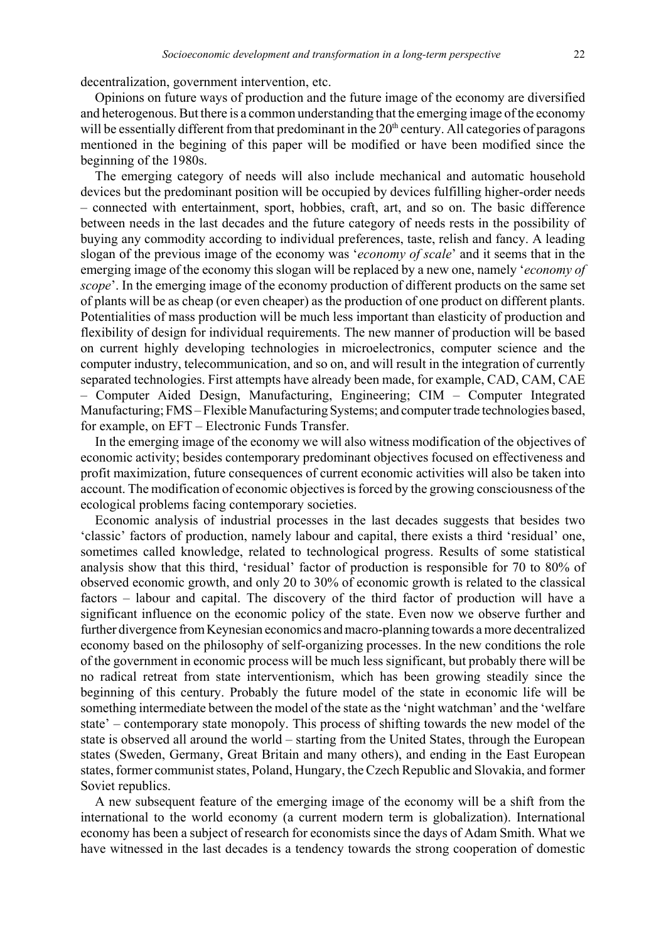decentralization, government intervention, etc.

Opinions on future ways of production and the future image of the economy are diversified and heterogenous. But there is a common understanding that the emerging image of the economy will be essentially different from that predominant in the  $20<sup>th</sup>$  century. All categories of paragons mentioned in the begining of this paper will be modified or have been modified since the beginning of the 1980s.

The emerging category of needs will also include mechanical and automatic household devices but the predominant position will be occupied by devices fulfilling higher-order needs – connected with entertainment, sport, hobbies, craft, art, and so on. The basic difference between needs in the last decades and the future category of needs rests in the possibility of buying any commodity according to individual preferences, taste, relish and fancy. A leading slogan of the previous image of the economy was '*economy of scale*' and it seems that in the emerging image of the economy this slogan will be replaced by a new one, namely '*economy of scope*'. In the emerging image of the economy production of different products on the same set of plants will be as cheap (or even cheaper) as the production of one product on different plants. Potentialities of mass production will be much less important than elasticity of production and flexibility of design for individual requirements. The new manner of production will be based on current highly developing technologies in microelectronics, computer science and the computer industry, telecommunication, and so on, and will result in the integration of currently separated technologies. First attempts have already been made, for example, CAD, CAM, CAE – Computer Aided Design, Manufacturing, Engineering; CIM – Computer Integrated Manufacturing; FMS – Flexible Manufacturing Systems; and computer trade technologies based, for example, on EFT – Electronic Funds Transfer.

In the emerging image of the economy we will also witness modification of the objectives of economic activity; besides contemporary predominant objectives focused on effectiveness and profit maximization, future consequences of current economic activities will also be taken into account. The modification of economic objectives is forced by the growing consciousness of the ecological problems facing contemporary societies.

Economic analysis of industrial processes in the last decades suggests that besides two 'classic' factors of production, namely labour and capital, there exists a third 'residual' one, sometimes called knowledge, related to technological progress. Results of some statistical analysis show that this third, 'residual' factor of production is responsible for 70 to 80% of observed economic growth, and only 20 to 30% of economic growth is related to the classical factors – labour and capital. The discovery of the third factor of production will have a significant influence on the economic policy of the state. Even now we observe further and further divergence from Keynesian economics and macro-planning towards a more decentralized economy based on the philosophy of self-organizing processes. In the new conditions the role of the government in economic process will be much less significant, but probably there will be no radical retreat from state interventionism, which has been growing steadily since the beginning of this century. Probably the future model of the state in economic life will be something intermediate between the model of the state as the 'night watchman' and the 'welfare state' – contemporary state monopoly. This process of shifting towards the new model of the state is observed all around the world – starting from the United States, through the European states (Sweden, Germany, Great Britain and many others), and ending in the East European states, former communist states, Poland, Hungary, the Czech Republic and Slovakia, and former Soviet republics.

A new subsequent feature of the emerging image of the economy will be a shift from the international to the world economy (a current modern term is globalization). International economy has been a subject of research for economists since the days of Adam Smith. What we have witnessed in the last decades is a tendency towards the strong cooperation of domestic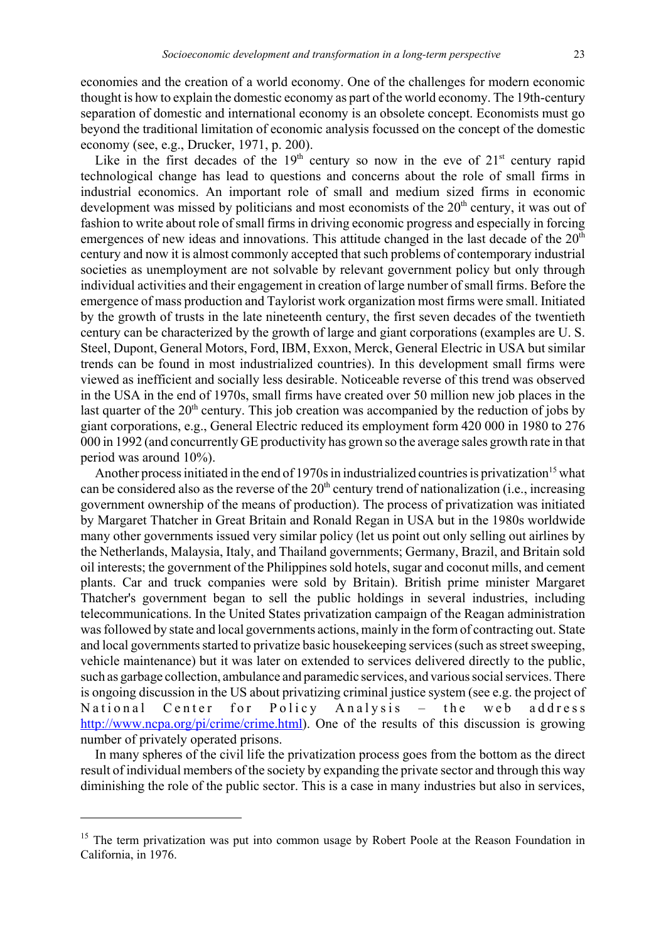economies and the creation of a world economy. One of the challenges for modern economic thought is how to explain the domestic economy as part of the world economy. The 19th-century separation of domestic and international economy is an obsolete concept. Economists must go beyond the traditional limitation of economic analysis focussed on the concept of the domestic economy (see, e.g., Drucker, 1971, p. 200).

Like in the first decades of the  $19<sup>th</sup>$  century so now in the eve of  $21<sup>st</sup>$  century rapid technological change has lead to questions and concerns about the role of small firms in industrial economics. An important role of small and medium sized firms in economic development was missed by politicians and most economists of the  $20<sup>th</sup>$  century, it was out of fashion to write about role of small firms in driving economic progress and especially in forcing emergences of new ideas and innovations. This attitude changed in the last decade of the  $20<sup>th</sup>$ century and now it is almost commonly accepted that such problems of contemporary industrial societies as unemployment are not solvable by relevant government policy but only through individual activities and their engagement in creation of large number of small firms. Before the emergence of mass production and Taylorist work organization most firms were small. Initiated by the growth of trusts in the late nineteenth century, the first seven decades of the twentieth century can be characterized by the growth of large and giant corporations (examples are U. S. Steel, Dupont, General Motors, Ford, IBM, Exxon, Merck, General Electric in USA but similar trends can be found in most industrialized countries). In this development small firms were viewed as inefficient and socially less desirable. Noticeable reverse of this trend was observed in the USA in the end of 1970s, small firms have created over 50 million new job places in the last quarter of the  $20<sup>th</sup>$  century. This job creation was accompanied by the reduction of jobs by giant corporations, e.g., General Electric reduced its employment form 420 000 in 1980 to 276 000 in 1992 (and concurrently GE productivity has grown so the average sales growth rate in that period was around 10%).

Another process initiated in the end of 1970s in industrialized countries is privatization<sup>15</sup> what can be considered also as the reverse of the  $20<sup>th</sup>$  century trend of nationalization (i.e., increasing government ownership of the means of production). The process of privatization was initiated by Margaret Thatcher in Great Britain and Ronald Regan in USA but in the 1980s worldwide many other governments issued very similar policy (let us point out only selling out airlines by the Netherlands, Malaysia, Italy, and Thailand governments; Germany, Brazil, and Britain sold oil interests; the government of the Philippines sold hotels, sugar and coconut mills, and cement plants. Car and truck companies were sold by Britain). British prime minister Margaret Thatcher's government began to sell the public holdings in several industries, including telecommunications. In the United States privatization campaign of the Reagan administration was followed by state and local governments actions, mainly in the form of contracting out. State and local governments started to privatize basic housekeeping services (such as street sweeping, vehicle maintenance) but it was later on extended to services delivered directly to the public, such as garbage collection, ambulance and paramedic services, and various social services. There is ongoing discussion in the US about privatizing criminal justice system (see e.g. the project of National Center for Policy Analysis – the web address http://www.ncpa.org/pi/crime/crime.html). One of the results of this discussion is growing number of privately operated prisons.

In many spheres of the civil life the privatization process goes from the bottom as the direct result of individual members of the society by expanding the private sector and through this way diminishing the role of the public sector. This is a case in many industries but also in services,

<sup>&</sup>lt;sup>15</sup> The term privatization was put into common usage by Robert Poole at the Reason Foundation in California, in 1976.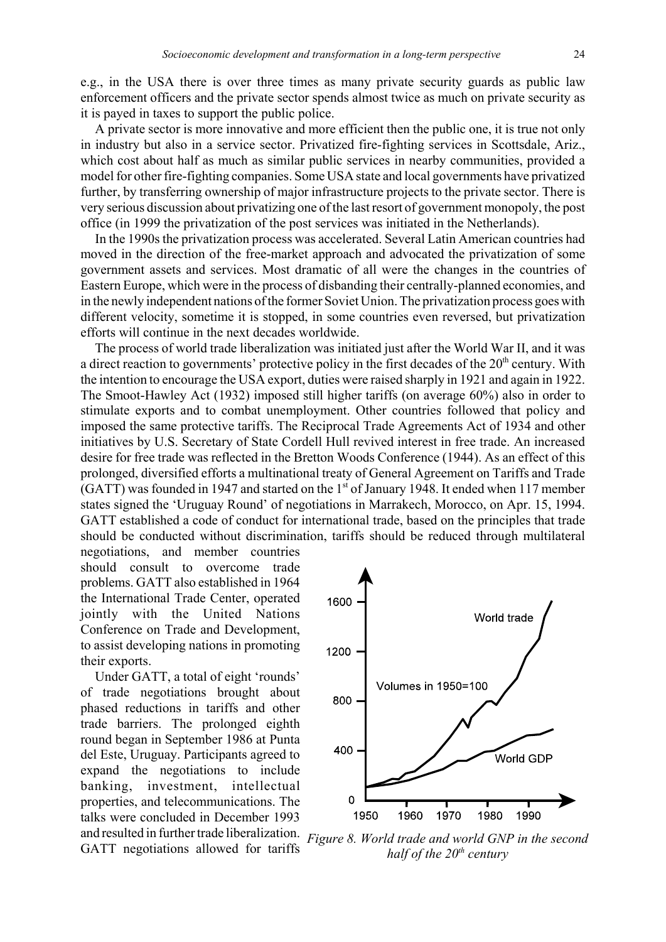e.g., in the USA there is over three times as many private security guards as public law enforcement officers and the private sector spends almost twice as much on private security as it is payed in taxes to support the public police.

A private sector is more innovative and more efficient then the public one, it is true not only in industry but also in a service sector. Privatized fire-fighting services in Scottsdale, Ariz., which cost about half as much as similar public services in nearby communities, provided a model for other fire-fighting companies. Some USA state and local governments have privatized further, by transferring ownership of major infrastructure projects to the private sector. There is very serious discussion about privatizing one of the last resort of government monopoly, the post office (in 1999 the privatization of the post services was initiated in the Netherlands).

In the 1990s the privatization process was accelerated. Several Latin American countries had moved in the direction of the free-market approach and advocated the privatization of some government assets and services. Most dramatic of all were the changes in the countries of Eastern Europe, which were in the process of disbanding their centrally-planned economies, and in the newly independent nations of the former Soviet Union. The privatization process goes with different velocity, sometime it is stopped, in some countries even reversed, but privatization efforts will continue in the next decades worldwide.

The process of world trade liberalization was initiated just after the World War II, and it was a direct reaction to governments' protective policy in the first decades of the 20<sup>th</sup> century. With the intention to encourage the USA export, duties were raised sharply in 1921 and again in 1922. The Smoot-Hawley Act (1932) imposed still higher tariffs (on average 60%) also in order to stimulate exports and to combat unemployment. Other countries followed that policy and imposed the same protective tariffs. The Reciprocal Trade Agreements Act of 1934 and other initiatives by U.S. Secretary of State Cordell Hull revived interest in free trade. An increased desire for free trade was reflected in the Bretton Woods Conference (1944). As an effect of this prolonged, diversified efforts a multinational treaty of General Agreement on Tariffs and Trade (GATT) was founded in 1947 and started on the 1st of January 1948. It ended when 117 member states signed the 'Uruguay Round' of negotiations in Marrakech, Morocco, on Apr. 15, 1994. GATT established a code of conduct for international trade, based on the principles that trade should be conducted without discrimination, tariffs should be reduced through multilateral

negotiations, and member countries should consult to overcome trade problems. GATT also established in 1964 the International Trade Center, operated jointly with the United Nations Conference on Trade and Development, to assist developing nations in promoting their exports.

Under GATT, a total of eight 'rounds' of trade negotiations brought about phased reductions in tariffs and other trade barriers. The prolonged eighth round began in September 1986 at Punta del Este, Uruguay. Participants agreed to expand the negotiations to include banking, investment, intellectual properties, and telecommunications. The talks were concluded in December 1993 and resulted in further trade liberalization. GATT negotiations allowed for tariffs



*Figure 8. World trade and world GNP in the second half of the 20<sup>th</sup> century*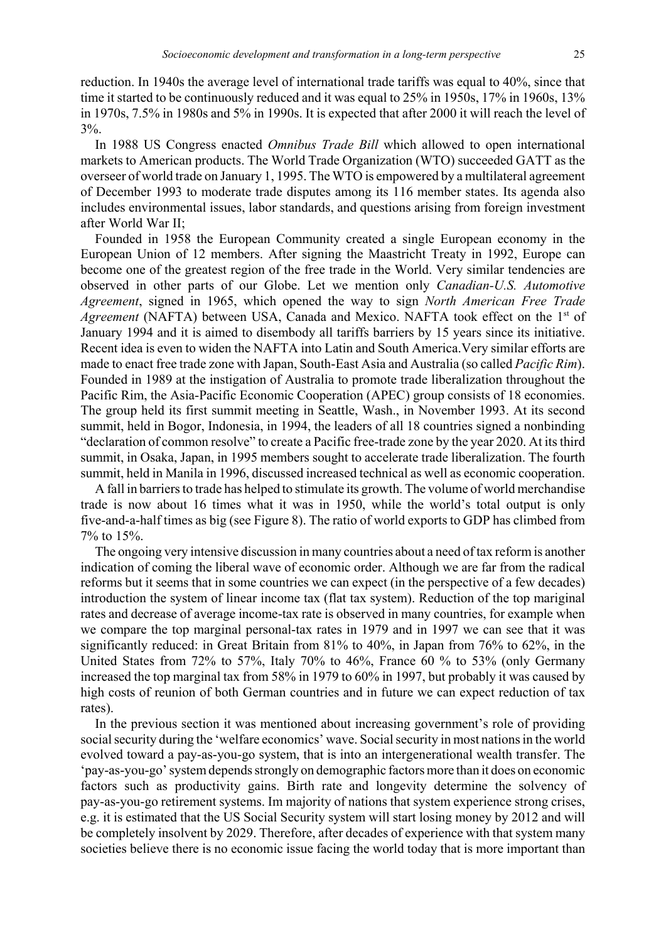reduction. In 1940s the average level of international trade tariffs was equal to 40%, since that time it started to be continuously reduced and it was equal to 25% in 1950s, 17% in 1960s, 13% in 1970s, 7.5% in 1980s and 5% in 1990s. It is expected that after 2000 it will reach the level of 3%.

In 1988 US Congress enacted *Omnibus Trade Bill* which allowed to open international markets to American products. The World Trade Organization (WTO) succeeded GATT as the overseer of world trade on January 1, 1995. The WTO is empowered by a multilateral agreement of December 1993 to moderate trade disputes among its 116 member states. Its agenda also includes environmental issues, labor standards, and questions arising from foreign investment after World War II;

Founded in 1958 the European Community created a single European economy in the European Union of 12 members. After signing the Maastricht Treaty in 1992, Europe can become one of the greatest region of the free trade in the World. Very similar tendencies are observed in other parts of our Globe. Let we mention only *Canadian-U.S. Automotive Agreement*, signed in 1965, which opened the way to sign *North American Free Trade Agreement* (NAFTA) between USA, Canada and Mexico. NAFTA took effect on the 1<sup>st</sup> of January 1994 and it is aimed to disembody all tariffs barriers by 15 years since its initiative. Recent idea is even to widen the NAFTA into Latin and South America.Very similar efforts are made to enact free trade zone with Japan, South-East Asia and Australia (so called *Pacific Rim*). Founded in 1989 at the instigation of Australia to promote trade liberalization throughout the Pacific Rim, the Asia-Pacific Economic Cooperation (APEC) group consists of 18 economies. The group held its first summit meeting in Seattle, Wash., in November 1993. At its second summit, held in Bogor, Indonesia, in 1994, the leaders of all 18 countries signed a nonbinding "declaration of common resolve" to create a Pacific free-trade zone by the year 2020. At its third summit, in Osaka, Japan, in 1995 members sought to accelerate trade liberalization. The fourth summit, held in Manila in 1996, discussed increased technical as well as economic cooperation.

A fall in barriers to trade has helped to stimulate its growth. The volume of world merchandise trade is now about 16 times what it was in 1950, while the world's total output is only five-and-a-half times as big (see Figure 8). The ratio of world exports to GDP has climbed from 7% to 15%.

The ongoing very intensive discussion in many countries about a need of tax reform is another indication of coming the liberal wave of economic order. Although we are far from the radical reforms but it seems that in some countries we can expect (in the perspective of a few decades) introduction the system of linear income tax (flat tax system). Reduction of the top mariginal rates and decrease of average income-tax rate is observed in many countries, for example when we compare the top marginal personal-tax rates in 1979 and in 1997 we can see that it was significantly reduced: in Great Britain from 81% to 40%, in Japan from 76% to 62%, in the United States from 72% to 57%, Italy 70% to 46%, France 60 % to 53% (only Germany increased the top marginal tax from 58% in 1979 to 60% in 1997, but probably it was caused by high costs of reunion of both German countries and in future we can expect reduction of tax rates).

In the previous section it was mentioned about increasing government's role of providing social security during the 'welfare economics' wave. Social security in most nations in the world evolved toward a pay-as-you-go system, that is into an intergenerational wealth transfer. The 'pay-as-you-go' system depends strongly on demographic factors more than it does on economic factors such as productivity gains. Birth rate and longevity determine the solvency of pay-as-you-go retirement systems. Im majority of nations that system experience strong crises, e.g. it is estimated that the US Social Security system will start losing money by 2012 and will be completely insolvent by 2029. Therefore, after decades of experience with that system many societies believe there is no economic issue facing the world today that is more important than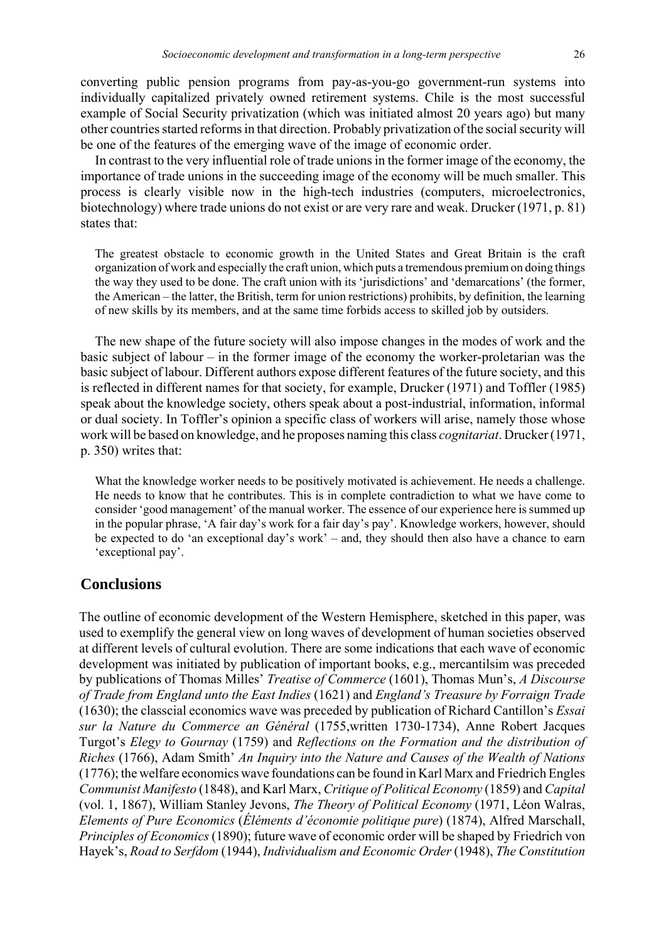converting public pension programs from pay-as-you-go government-run systems into individually capitalized privately owned retirement systems. Chile is the most successful example of Social Security privatization (which was initiated almost 20 years ago) but many other countries started reforms in that direction. Probably privatization of the social security will be one of the features of the emerging wave of the image of economic order.

In contrast to the very influential role of trade unions in the former image of the economy, the importance of trade unions in the succeeding image of the economy will be much smaller. This process is clearly visible now in the high-tech industries (computers, microelectronics, biotechnology) where trade unions do not exist or are very rare and weak. Drucker (1971, p. 81) states that:

The greatest obstacle to economic growth in the United States and Great Britain is the craft organization of work and especially the craft union, which puts a tremendous premium on doing things the way they used to be done. The craft union with its 'jurisdictions' and 'demarcations' (the former, the American – the latter, the British, term for union restrictions) prohibits, by definition, the learning of new skills by its members, and at the same time forbids access to skilled job by outsiders.

The new shape of the future society will also impose changes in the modes of work and the basic subject of labour – in the former image of the economy the worker-proletarian was the basic subject of labour. Different authors expose different features of the future society, and this is reflected in different names for that society, for example, Drucker (1971) and Toffler (1985) speak about the knowledge society, others speak about a post-industrial, information, informal or dual society. In Toffler's opinion a specific class of workers will arise, namely those whose work will be based on knowledge, and he proposes naming this class *cognitariat*. Drucker (1971, p. 350) writes that:

What the knowledge worker needs to be positively motivated is achievement. He needs a challenge. He needs to know that he contributes. This is in complete contradiction to what we have come to consider 'good management' of the manual worker. The essence of our experience here is summed up in the popular phrase, 'A fair day's work for a fair day's pay'. Knowledge workers, however, should be expected to do 'an exceptional day's work' – and, they should then also have a chance to earn 'exceptional pay'.

## **Conclusions**

The outline of economic development of the Western Hemisphere, sketched in this paper, was used to exemplify the general view on long waves of development of human societies observed at different levels of cultural evolution. There are some indications that each wave of economic development was initiated by publication of important books, e.g., mercantilsim was preceded by publications of Thomas Milles' *Treatise of Commerce* (1601), Thomas Mun's, *A Discourse of Trade from England unto the East Indies* (1621) and *England's Treasure by Forraign Trade* (1630); the classcial economics wave was preceded by publication of Richard Cantillon's *Essai sur la Nature du Commerce an Général* (1755,written 1730-1734), Anne Robert Jacques Turgot's *Elegy to Gournay* (1759) and *Reflections on the Formation and the distribution of Riches* (1766), Adam Smith' *An Inquiry into the Nature and Causes of the Wealth of Nations* (1776); the welfare economics wave foundations can be found in Karl Marx and Friedrich Engles *Communist Manifesto* (1848), and Karl Marx, *Critique of Political Economy* (1859) and *Capital* (vol. 1, 1867), William Stanley Jevons, *The Theory of Political Economy* (1971, Léon Walras, *Elements of Pure Economics* (*Éléments d'économie politique pure*) (1874), Alfred Marschall, *Principles of Economics* (1890); future wave of economic order will be shaped by Friedrich von Hayek's, *Road to Serfdom* (1944), *Individualism and Economic Order* (1948), *The Constitution*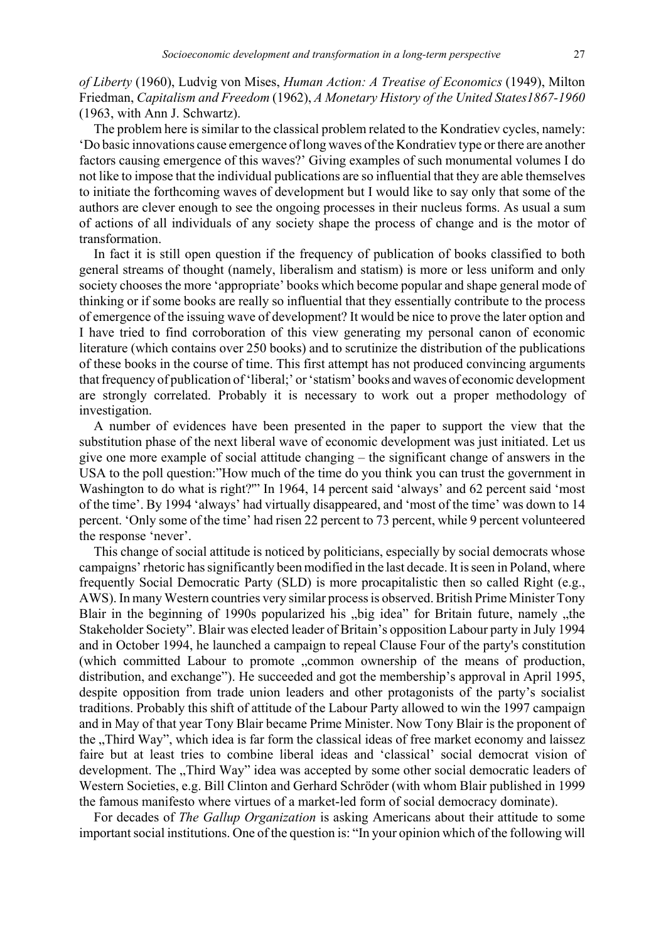*of Liberty* (1960), Ludvig von Mises, *Human Action: A Treatise of Economics* (1949), Milton Friedman, *Capitalism and Freedom* (1962), *A Monetary History of the United States1867-1960* (1963, with Ann J. Schwartz).

The problem here is similar to the classical problem related to the Kondratiev cycles, namely: 'Do basic innovations cause emergence of long waves of the Kondratiev type or there are another factors causing emergence of this waves?' Giving examples of such monumental volumes I do not like to impose that the individual publications are so influential that they are able themselves to initiate the forthcoming waves of development but I would like to say only that some of the authors are clever enough to see the ongoing processes in their nucleus forms. As usual a sum of actions of all individuals of any society shape the process of change and is the motor of transformation.

In fact it is still open question if the frequency of publication of books classified to both general streams of thought (namely, liberalism and statism) is more or less uniform and only society chooses the more 'appropriate' books which become popular and shape general mode of thinking or if some books are really so influential that they essentially contribute to the process of emergence of the issuing wave of development? It would be nice to prove the later option and I have tried to find corroboration of this view generating my personal canon of economic literature (which contains over 250 books) and to scrutinize the distribution of the publications of these books in the course of time. This first attempt has not produced convincing arguments that frequency of publication of 'liberal;' or 'statism' books and waves of economic development are strongly correlated. Probably it is necessary to work out a proper methodology of investigation.

A number of evidences have been presented in the paper to support the view that the substitution phase of the next liberal wave of economic development was just initiated. Let us give one more example of social attitude changing – the significant change of answers in the USA to the poll question:"How much of the time do you think you can trust the government in Washington to do what is right?'" In 1964, 14 percent said 'always' and 62 percent said 'most of the time'. By 1994 'always' had virtually disappeared, and 'most of the time' was down to 14 percent. 'Only some of the time' had risen 22 percent to 73 percent, while 9 percent volunteered the response 'never'.

This change of social attitude is noticed by politicians, especially by social democrats whose campaigns' rhetoric has significantly been modified in the last decade. It is seen in Poland, where frequently Social Democratic Party (SLD) is more procapitalistic then so called Right (e.g., AWS). In many Western countries very similar process is observed. British Prime Minister Tony Blair in the beginning of 1990s popularized his "big idea" for Britain future, namely "the Stakeholder Society". Blair was elected leader of Britain's opposition Labour party in July 1994 and in October 1994, he launched a campaign to repeal Clause Four of the party's constitution (which committed Labour to promote "common ownership of the means of production, distribution, and exchange"). He succeeded and got the membership's approval in April 1995, despite opposition from trade union leaders and other protagonists of the party's socialist traditions. Probably this shift of attitude of the Labour Party allowed to win the 1997 campaign and in May of that year Tony Blair became Prime Minister. Now Tony Blair is the proponent of the "Third Way", which idea is far form the classical ideas of free market economy and laissez faire but at least tries to combine liberal ideas and 'classical' social democrat vision of development. The "Third Way" idea was accepted by some other social democratic leaders of Western Societies, e.g. Bill Clinton and Gerhard Schröder (with whom Blair published in 1999 the famous manifesto where virtues of a market-led form of social democracy dominate).

For decades of *The Gallup Organization* is asking Americans about their attitude to some important social institutions. One of the question is: "In your opinion which of the following will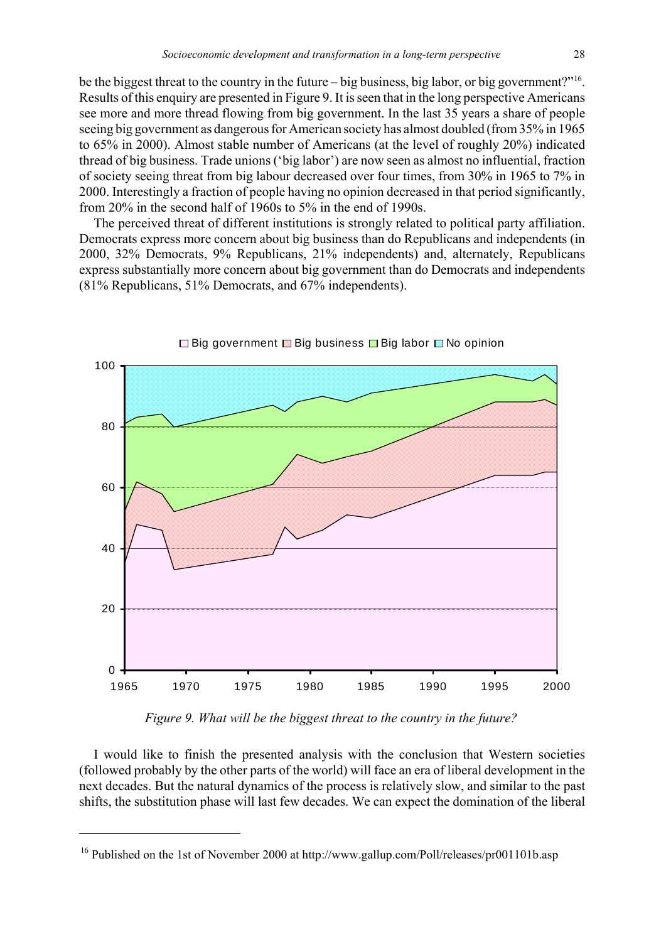be the biggest threat to the country in the future – big business, big labor, or big government?"<sup>16</sup>. Results of this enquiry are presented in Figure 9. It is seen that in the long perspective Americans see more and more thread flowing from big government. In the last 35 years a share of people seeing big government as dangerous for American society has almost doubled (from 35% in 1965 to 65% in 2000). Almost stable number of Americans (at the level of roughly 20%) indicated thread of big business. Trade unions ('big labor') are now seen as almost no influential, fraction of society seeing threat from big labour decreased over four times, from 30% in 1965 to 7% in 2000. Interestingly a fraction of people having no opinion decreased in that period significantly, from 20% in the second half of 1960s to 5% in the end of 1990s.

The perceived threat of different institutions is strongly related to political party affiliation. Democrats express more concern about big business than do Republicans and independents (in 2000, 32% Democrats, 9% Republicans, 21% independents) and, alternately, Republicans express substantially more concern about big government than do Democrats and independents (81% Republicans, 51% Democrats, and 67% independents).



*Figure 9. What will be the biggest threat to the country in the future?* 

I would like to finish the presented analysis with the conclusion that Western societies (followed probably by the other parts of the world) will face an era of liberal development in the next decades. But the natural dynamics of the process is relatively slow, and similar to the past shifts, the substitution phase will last few decades. We can expect the domination of the liberal

<sup>&</sup>lt;sup>16</sup> Published on the 1st of November 2000 at http://www.gallup.com/Poll/releases/pr001101b.asp